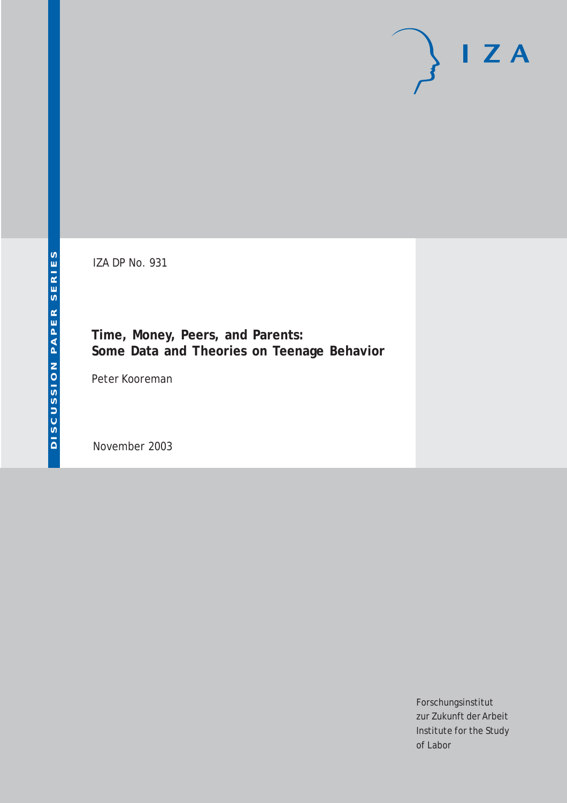# $I Z A$

IZA DP No. 931

**Time, Money, Peers, and Parents: Some Data and Theories on Teenage Behavior**

Peter Kooreman

November 2003

Forschungsinstitut zur Zukunft der Arbeit Institute for the Study of Labor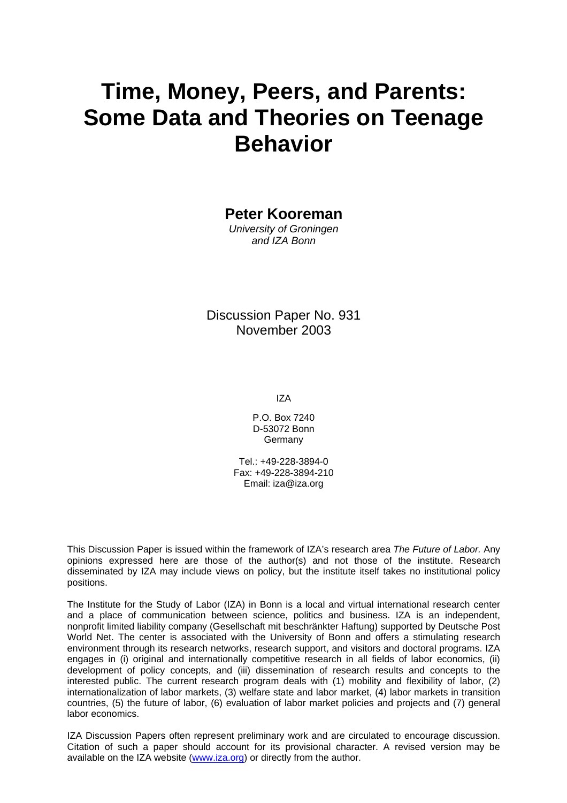# **Time, Money, Peers, and Parents: Some Data and Theories on Teenage Behavior**

**Peter Kooreman** 

*University of Groningen and IZA Bonn*

Discussion Paper No. 931 November 2003

IZA

P.O. Box 7240 D-53072 Bonn Germany

Tel.: +49-228-3894-0 Fax: +49-228-3894-210 Email: [iza@iza.org](mailto:iza@iza.org)

This Discussion Paper is issued within the framework of IZA's research area *The Future of Labor.* Any opinions expressed here are those of the author(s) and not those of the institute. Research disseminated by IZA may include views on policy, but the institute itself takes no institutional policy positions.

The Institute for the Study of Labor (IZA) in Bonn is a local and virtual international research center and a place of communication between science, politics and business. IZA is an independent, nonprofit limited liability company (Gesellschaft mit beschränkter Haftung) supported by Deutsche Post World Net. The center is associated with the University of Bonn and offers a stimulating research environment through its research networks, research support, and visitors and doctoral programs. IZA engages in (i) original and internationally competitive research in all fields of labor economics, (ii) development of policy concepts, and (iii) dissemination of research results and concepts to the interested public. The current research program deals with (1) mobility and flexibility of labor, (2) internationalization of labor markets, (3) welfare state and labor market, (4) labor markets in transition countries, (5) the future of labor, (6) evaluation of labor market policies and projects and (7) general labor economics.

IZA Discussion Papers often represent preliminary work and are circulated to encourage discussion. Citation of such a paper should account for its provisional character. A revised version may be available on the IZA website ([www.iza.org](http://www.iza.org/)) or directly from the author.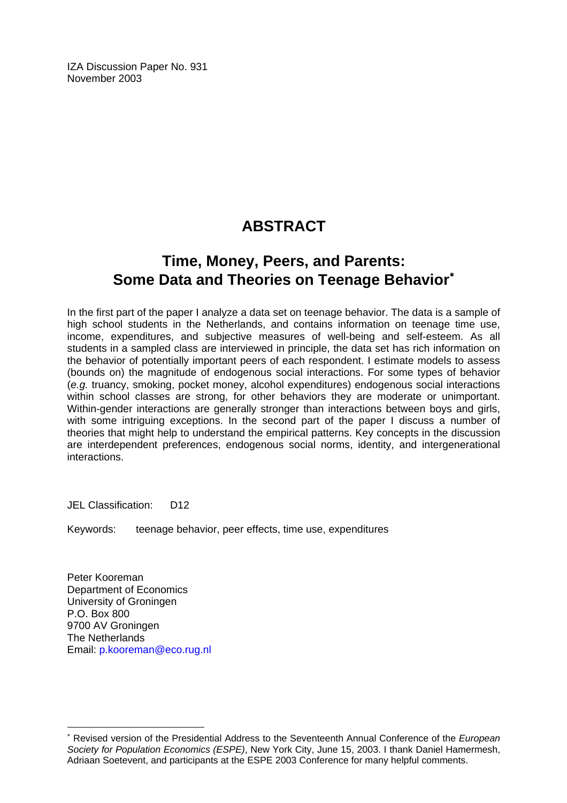IZA Discussion Paper No. 931 November 2003

## **ABSTRACT**

### **Time, Money, Peers, and Parents: Some Data and Theories on Teenage Behavior**[∗](#page-2-0)

In the first part of the paper I analyze a data set on teenage behavior. The data is a sample of high school students in the Netherlands, and contains information on teenage time use, income, expenditures, and subjective measures of well-being and self-esteem. As all students in a sampled class are interviewed in principle, the data set has rich information on the behavior of potentially important peers of each respondent. I estimate models to assess (bounds on) the magnitude of endogenous social interactions. For some types of behavior (*e.g.* truancy, smoking, pocket money, alcohol expenditures) endogenous social interactions within school classes are strong, for other behaviors they are moderate or unimportant. Within-gender interactions are generally stronger than interactions between boys and girls, with some intriguing exceptions. In the second part of the paper I discuss a number of theories that might help to understand the empirical patterns. Key concepts in the discussion are interdependent preferences, endogenous social norms, identity, and intergenerational interactions.

JEL Classification: D12

Keywords: teenage behavior, peer effects, time use, expenditures

Peter Kooreman Department of Economics University of Groningen P.O. Box 800 9700 AV Groningen The Netherlands Email: [p.kooreman@eco.rug.nl](mailto:p.kooreman@eco.rug.nl) 

 $\overline{a}$ 

<span id="page-2-0"></span><sup>∗</sup> Revised version of the Presidential Address to the Seventeenth Annual Conference of the *European Society for Population Economics (ESPE)*, New York City, June 15, 2003. I thank Daniel Hamermesh, Adriaan Soetevent, and participants at the ESPE 2003 Conference for many helpful comments.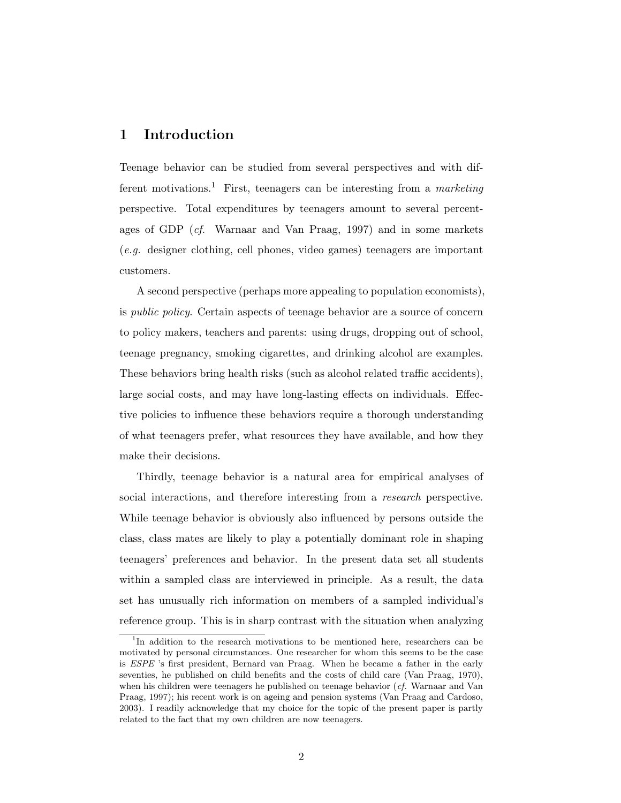#### 1 Introduction

Teenage behavior can be studied from several perspectives and with different motivations.<sup>1</sup> First, teenagers can be interesting from a *marketing* perspective. Total expenditures by teenagers amount to several percentages of GDP  $(cf.$  Warnaar and Van Praag, 1997) and in some markets (e.g. designer clothing, cell phones, video games) teenagers are important customers.

A second perspective (perhaps more appealing to population economists), is public policy. Certain aspects of teenage behavior are a source of concern to policy makers, teachers and parents: using drugs, dropping out of school, teenage pregnancy, smoking cigarettes, and drinking alcohol are examples. These behaviors bring health risks (such as alcohol related traffic accidents), large social costs, and may have long-lasting effects on individuals. Effective policies to influence these behaviors require a thorough understanding of what teenagers prefer, what resources they have available, and how they make their decisions.

Thirdly, teenage behavior is a natural area for empirical analyses of social interactions, and therefore interesting from a research perspective. While teenage behavior is obviously also influenced by persons outside the class, class mates are likely to play a potentially dominant role in shaping teenagers' preferences and behavior. In the present data set all students within a sampled class are interviewed in principle. As a result, the data set has unusually rich information on members of a sampled individual's reference group. This is in sharp contrast with the situation when analyzing

<sup>&</sup>lt;sup>1</sup>In addition to the research motivations to be mentioned here, researchers can be motivated by personal circumstances. One researcher for whom this seems to be the case is ESPE 's first president, Bernard van Praag. When he became a father in the early seventies, he published on child benefits and the costs of child care (Van Praag, 1970), when his children were teenagers he published on teenage behavior (cf. Warnaar and Van Praag, 1997); his recent work is on ageing and pension systems (Van Praag and Cardoso, 2003). I readily acknowledge that my choice for the topic of the present paper is partly related to the fact that my own children are now teenagers.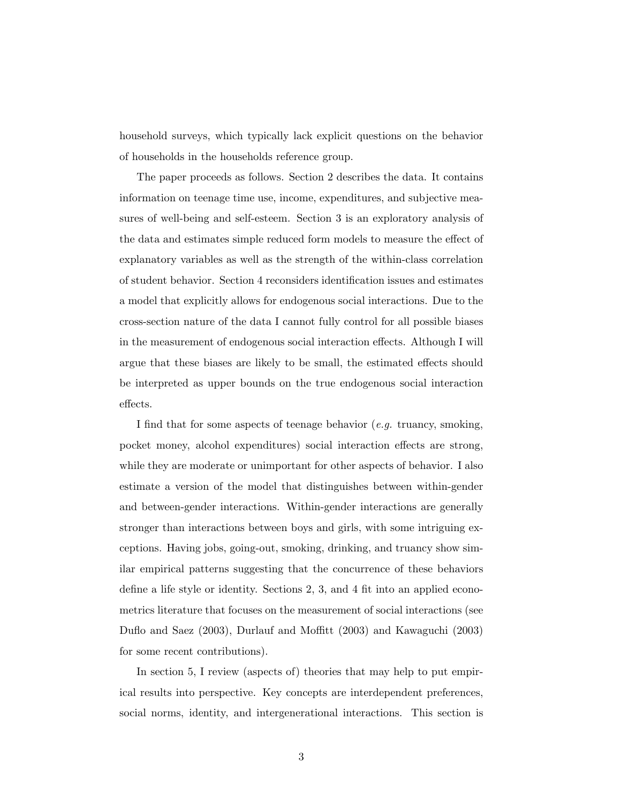household surveys, which typically lack explicit questions on the behavior of households in the households reference group.

The paper proceeds as follows. Section 2 describes the data. It contains information on teenage time use, income, expenditures, and subjective measures of well-being and self-esteem. Section 3 is an exploratory analysis of the data and estimates simple reduced form models to measure the effect of explanatory variables as well as the strength of the within-class correlation of student behavior. Section 4 reconsiders identification issues and estimates a model that explicitly allows for endogenous social interactions. Due to the cross-section nature of the data I cannot fully control for all possible biases in the measurement of endogenous social interaction effects. Although I will argue that these biases are likely to be small, the estimated effects should be interpreted as upper bounds on the true endogenous social interaction effects.

I find that for some aspects of teenage behavior (e.g. truancy, smoking, pocket money, alcohol expenditures) social interaction effects are strong, while they are moderate or unimportant for other aspects of behavior. I also estimate a version of the model that distinguishes between within-gender and between-gender interactions. Within-gender interactions are generally stronger than interactions between boys and girls, with some intriguing exceptions. Having jobs, going-out, smoking, drinking, and truancy show similar empirical patterns suggesting that the concurrence of these behaviors define a life style or identity. Sections 2, 3, and 4 fit into an applied econometrics literature that focuses on the measurement of social interactions (see Duflo and Saez (2003), Durlauf and Moffitt (2003) and Kawaguchi (2003) for some recent contributions).

In section 5, I review (aspects of) theories that may help to put empirical results into perspective. Key concepts are interdependent preferences, social norms, identity, and intergenerational interactions. This section is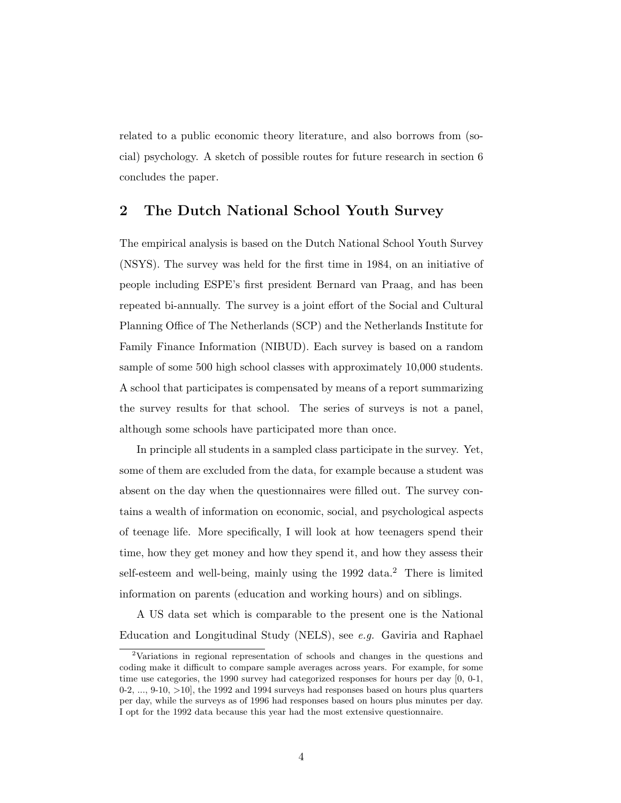related to a public economic theory literature, and also borrows from (social) psychology. A sketch of possible routes for future research in section 6 concludes the paper.

#### 2 The Dutch National School Youth Survey

The empirical analysis is based on the Dutch National School Youth Survey (NSYS). The survey was held for the first time in 1984, on an initiative of people including ESPE's first president Bernard van Praag, and has been repeated bi-annually. The survey is a joint effort of the Social and Cultural Planning Office of The Netherlands (SCP) and the Netherlands Institute for Family Finance Information (NIBUD). Each survey is based on a random sample of some 500 high school classes with approximately 10,000 students. A school that participates is compensated by means of a report summarizing the survey results for that school. The series of surveys is not a panel, although some schools have participated more than once.

In principle all students in a sampled class participate in the survey. Yet, some of them are excluded from the data, for example because a student was absent on the day when the questionnaires were filled out. The survey contains a wealth of information on economic, social, and psychological aspects of teenage life. More specifically, I will look at how teenagers spend their time, how they get money and how they spend it, and how they assess their self-esteem and well-being, mainly using the 1992 data.<sup>2</sup> There is limited information on parents (education and working hours) and on siblings.

A US data set which is comparable to the present one is the National Education and Longitudinal Study (NELS), see e.g. Gaviria and Raphael

<sup>2</sup>Variations in regional representation of schools and changes in the questions and coding make it difficult to compare sample averages across years. For example, for some time use categories, the 1990 survey had categorized responses for hours per day [0, 0-1, 0-2, ..., 9-10, >10], the 1992 and 1994 surveys had responses based on hours plus quarters per day, while the surveys as of 1996 had responses based on hours plus minutes per day. I opt for the 1992 data because this year had the most extensive questionnaire.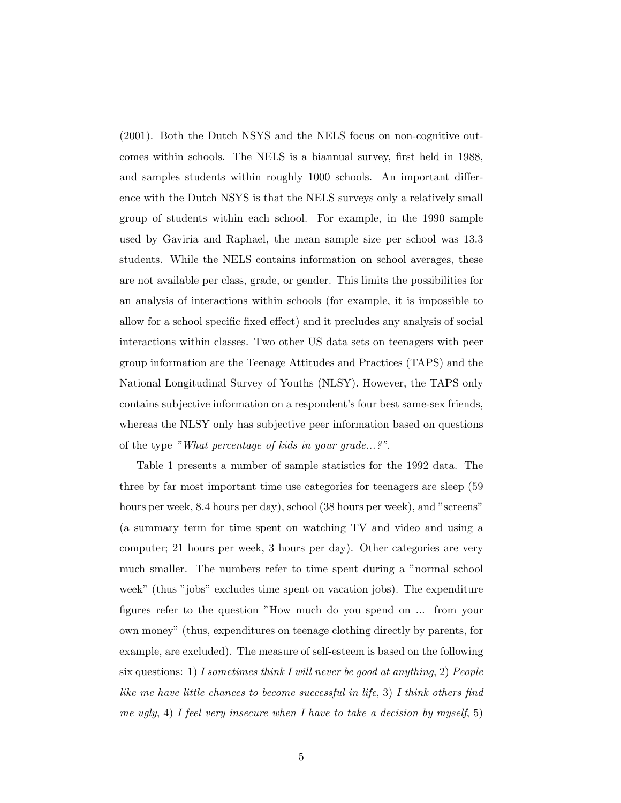(2001). Both the Dutch NSYS and the NELS focus on non-cognitive outcomes within schools. The NELS is a biannual survey, first held in 1988, and samples students within roughly 1000 schools. An important difference with the Dutch NSYS is that the NELS surveys only a relatively small group of students within each school. For example, in the 1990 sample used by Gaviria and Raphael, the mean sample size per school was 13.3 students. While the NELS contains information on school averages, these are not available per class, grade, or gender. This limits the possibilities for an analysis of interactions within schools (for example, it is impossible to allow for a school specific fixed effect) and it precludes any analysis of social interactions within classes. Two other US data sets on teenagers with peer group information are the Teenage Attitudes and Practices (TAPS) and the National Longitudinal Survey of Youths (NLSY). However, the TAPS only contains subjective information on a respondent's four best same-sex friends, whereas the NLSY only has subjective peer information based on questions of the type "What percentage of kids in your grade...?".

Table 1 presents a number of sample statistics for the 1992 data. The three by far most important time use categories for teenagers are sleep (59 hours per week, 8.4 hours per day), school (38 hours per week), and "screens" (a summary term for time spent on watching TV and video and using a computer; 21 hours per week, 3 hours per day). Other categories are very much smaller. The numbers refer to time spent during a "normal school week" (thus "jobs" excludes time spent on vacation jobs). The expenditure figures refer to the question "How much do you spend on ... from your own money" (thus, expenditures on teenage clothing directly by parents, for example, are excluded). The measure of self-esteem is based on the following six questions: 1) I sometimes think I will never be good at anything, 2) People like me have little chances to become successful in life, 3) I think others find me ugly, 4) I feel very insecure when I have to take a decision by myself, 5)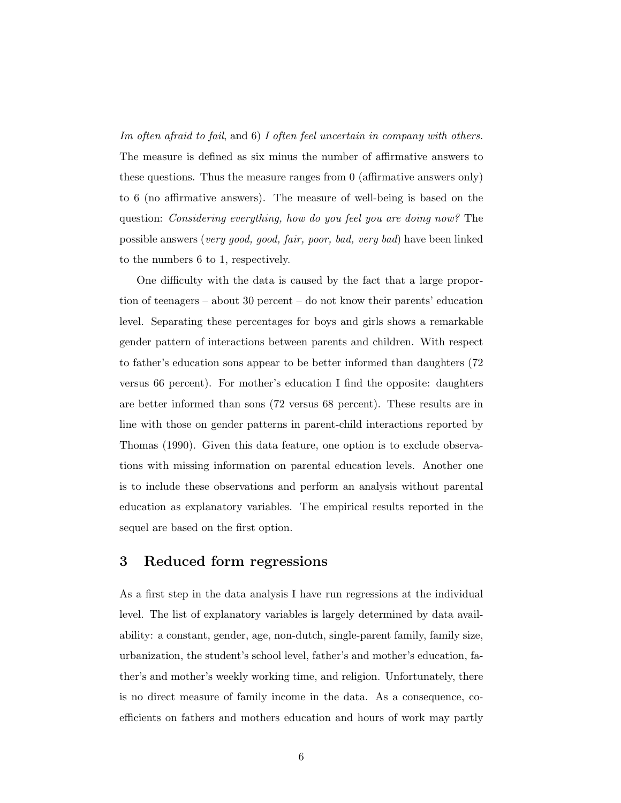Im often afraid to fail, and 6) I often feel uncertain in company with others. The measure is defined as six minus the number of affirmative answers to these questions. Thus the measure ranges from 0 (affirmative answers only) to 6 (no affirmative answers). The measure of well-being is based on the question: Considering everything, how do you feel you are doing now? The possible answers (very good, good, fair, poor, bad, very bad) have been linked to the numbers 6 to 1, respectively.

One difficulty with the data is caused by the fact that a large proportion of teenagers – about 30 percent – do not know their parents' education level. Separating these percentages for boys and girls shows a remarkable gender pattern of interactions between parents and children. With respect to father's education sons appear to be better informed than daughters (72 versus 66 percent). For mother's education I find the opposite: daughters are better informed than sons (72 versus 68 percent). These results are in line with those on gender patterns in parent-child interactions reported by Thomas (1990). Given this data feature, one option is to exclude observations with missing information on parental education levels. Another one is to include these observations and perform an analysis without parental education as explanatory variables. The empirical results reported in the sequel are based on the first option.

#### 3 Reduced form regressions

As a first step in the data analysis I have run regressions at the individual level. The list of explanatory variables is largely determined by data availability: a constant, gender, age, non-dutch, single-parent family, family size, urbanization, the student's school level, father's and mother's education, father's and mother's weekly working time, and religion. Unfortunately, there is no direct measure of family income in the data. As a consequence, coefficients on fathers and mothers education and hours of work may partly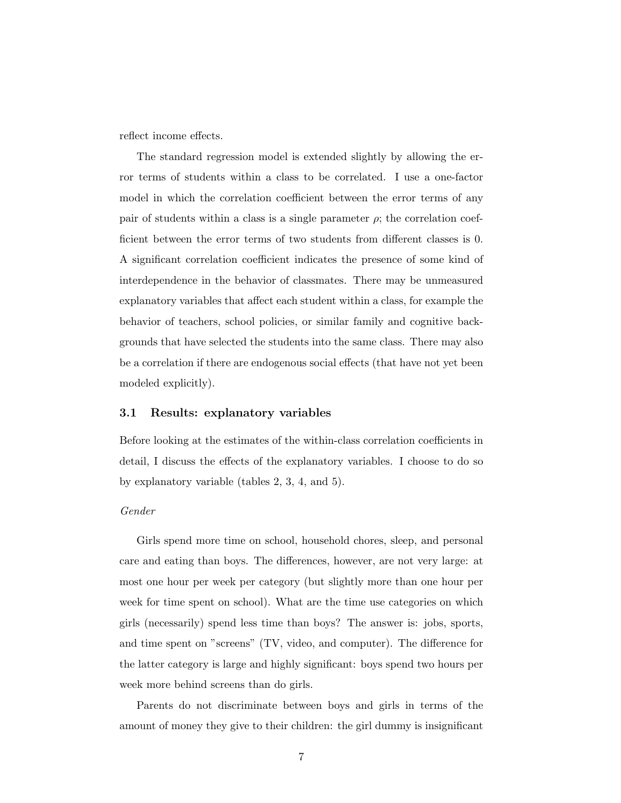reflect income effects.

The standard regression model is extended slightly by allowing the error terms of students within a class to be correlated. I use a one-factor model in which the correlation coefficient between the error terms of any pair of students within a class is a single parameter  $\rho$ ; the correlation coefficient between the error terms of two students from different classes is 0. A significant correlation coefficient indicates the presence of some kind of interdependence in the behavior of classmates. There may be unmeasured explanatory variables that affect each student within a class, for example the behavior of teachers, school policies, or similar family and cognitive backgrounds that have selected the students into the same class. There may also be a correlation if there are endogenous social effects (that have not yet been modeled explicitly).

#### 3.1 Results: explanatory variables

Before looking at the estimates of the within-class correlation coefficients in detail, I discuss the effects of the explanatory variables. I choose to do so by explanatory variable (tables 2, 3, 4, and 5).

#### Gender

Girls spend more time on school, household chores, sleep, and personal care and eating than boys. The differences, however, are not very large: at most one hour per week per category (but slightly more than one hour per week for time spent on school). What are the time use categories on which girls (necessarily) spend less time than boys? The answer is: jobs, sports, and time spent on "screens" (TV, video, and computer). The difference for the latter category is large and highly significant: boys spend two hours per week more behind screens than do girls.

Parents do not discriminate between boys and girls in terms of the amount of money they give to their children: the girl dummy is insignificant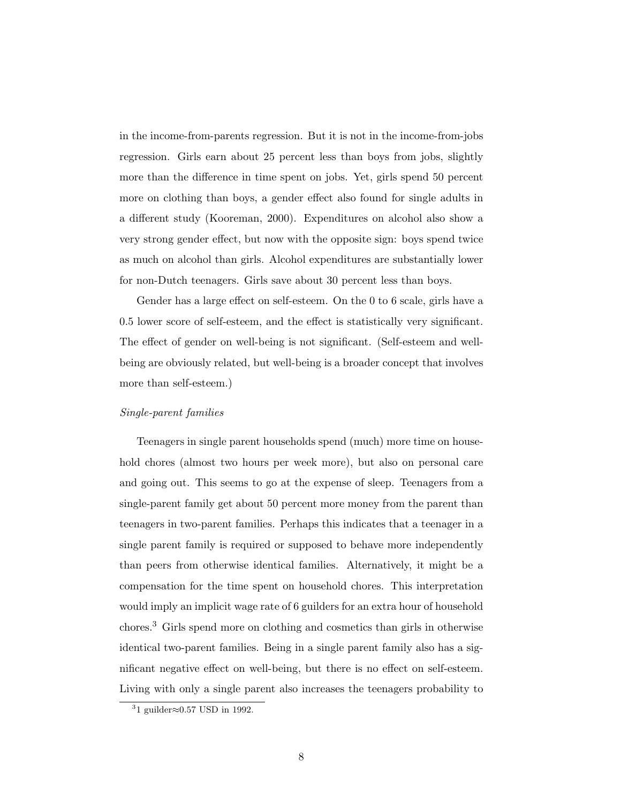in the income-from-parents regression. But it is not in the income-from-jobs regression. Girls earn about 25 percent less than boys from jobs, slightly more than the difference in time spent on jobs. Yet, girls spend 50 percent more on clothing than boys, a gender effect also found for single adults in a different study (Kooreman, 2000). Expenditures on alcohol also show a very strong gender effect, but now with the opposite sign: boys spend twice as much on alcohol than girls. Alcohol expenditures are substantially lower for non-Dutch teenagers. Girls save about 30 percent less than boys.

Gender has a large effect on self-esteem. On the 0 to 6 scale, girls have a 0.5 lower score of self-esteem, and the effect is statistically very significant. The effect of gender on well-being is not significant. (Self-esteem and wellbeing are obviously related, but well-being is a broader concept that involves more than self-esteem.)

#### Single-parent families

Teenagers in single parent households spend (much) more time on household chores (almost two hours per week more), but also on personal care and going out. This seems to go at the expense of sleep. Teenagers from a single-parent family get about 50 percent more money from the parent than teenagers in two-parent families. Perhaps this indicates that a teenager in a single parent family is required or supposed to behave more independently than peers from otherwise identical families. Alternatively, it might be a compensation for the time spent on household chores. This interpretation would imply an implicit wage rate of 6 guilders for an extra hour of household chores.<sup>3</sup> Girls spend more on clothing and cosmetics than girls in otherwise identical two-parent families. Being in a single parent family also has a significant negative effect on well-being, but there is no effect on self-esteem. Living with only a single parent also increases the teenagers probability to

<sup>&</sup>lt;sup>3</sup>1 guilder≈0.57 USD in 1992.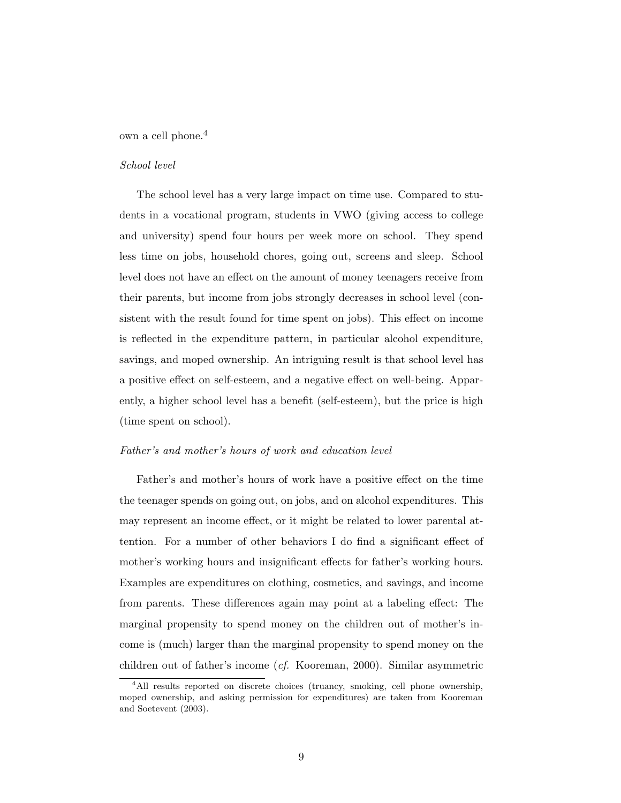own a cell phone.<sup>4</sup>

#### School level

The school level has a very large impact on time use. Compared to students in a vocational program, students in VWO (giving access to college and university) spend four hours per week more on school. They spend less time on jobs, household chores, going out, screens and sleep. School level does not have an effect on the amount of money teenagers receive from their parents, but income from jobs strongly decreases in school level (consistent with the result found for time spent on jobs). This effect on income is reflected in the expenditure pattern, in particular alcohol expenditure, savings, and moped ownership. An intriguing result is that school level has a positive effect on self-esteem, and a negative effect on well-being. Apparently, a higher school level has a benefit (self-esteem), but the price is high (time spent on school).

#### Father's and mother's hours of work and education level

Father's and mother's hours of work have a positive effect on the time the teenager spends on going out, on jobs, and on alcohol expenditures. This may represent an income effect, or it might be related to lower parental attention. For a number of other behaviors I do find a significant effect of mother's working hours and insignificant effects for father's working hours. Examples are expenditures on clothing, cosmetics, and savings, and income from parents. These differences again may point at a labeling effect: The marginal propensity to spend money on the children out of mother's income is (much) larger than the marginal propensity to spend money on the children out of father's income (cf. Kooreman, 2000). Similar asymmetric

<sup>&</sup>lt;sup>4</sup>All results reported on discrete choices (truancy, smoking, cell phone ownership, moped ownership, and asking permission for expenditures) are taken from Kooreman and Soetevent (2003).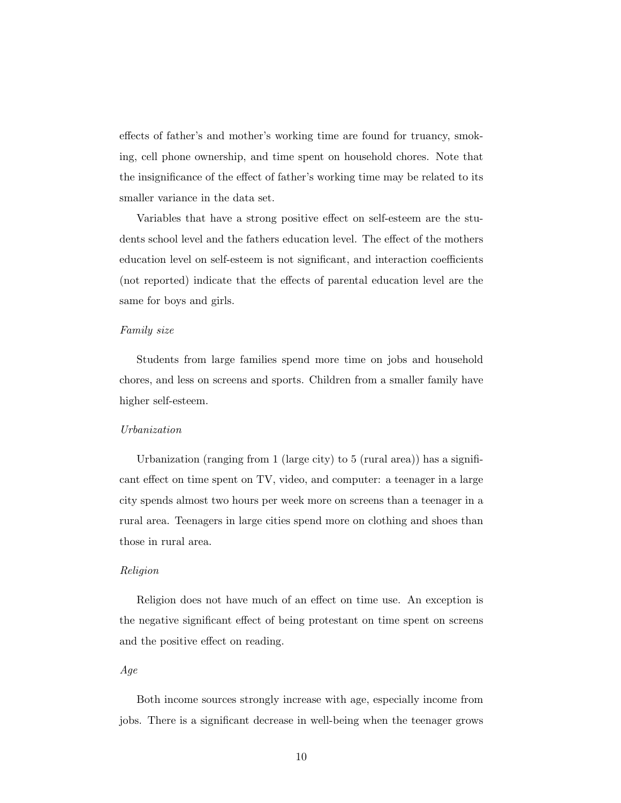effects of father's and mother's working time are found for truancy, smoking, cell phone ownership, and time spent on household chores. Note that the insignificance of the effect of father's working time may be related to its smaller variance in the data set.

Variables that have a strong positive effect on self-esteem are the students school level and the fathers education level. The effect of the mothers education level on self-esteem is not significant, and interaction coefficients (not reported) indicate that the effects of parental education level are the same for boys and girls.

#### Family size

Students from large families spend more time on jobs and household chores, and less on screens and sports. Children from a smaller family have higher self-esteem.

#### Urbanization

Urbanization (ranging from 1 (large city) to 5 (rural area)) has a significant effect on time spent on TV, video, and computer: a teenager in a large city spends almost two hours per week more on screens than a teenager in a rural area. Teenagers in large cities spend more on clothing and shoes than those in rural area.

#### Religion

Religion does not have much of an effect on time use. An exception is the negative significant effect of being protestant on time spent on screens and the positive effect on reading.

#### Age

Both income sources strongly increase with age, especially income from jobs. There is a significant decrease in well-being when the teenager grows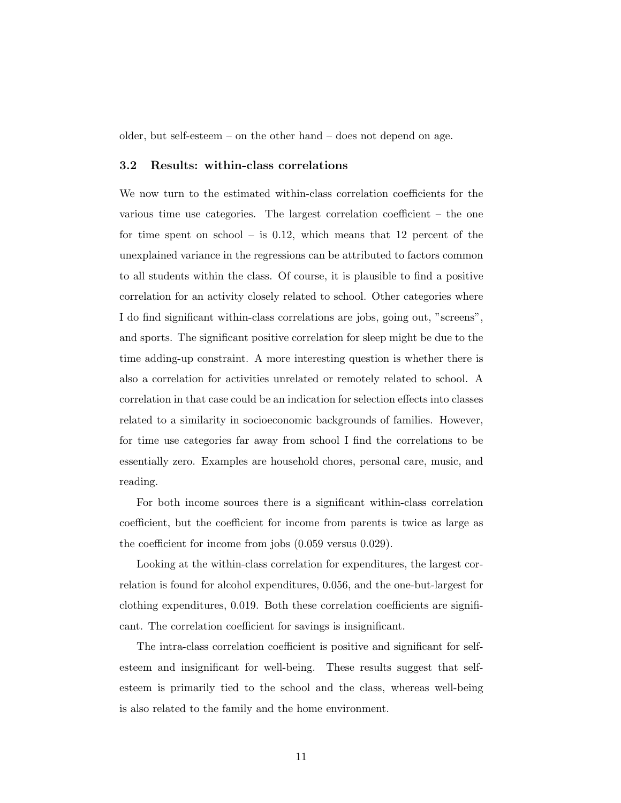older, but self-esteem – on the other hand – does not depend on age.

#### 3.2 Results: within-class correlations

We now turn to the estimated within-class correlation coefficients for the various time use categories. The largest correlation coefficient – the one for time spent on school – is 0.12, which means that 12 percent of the unexplained variance in the regressions can be attributed to factors common to all students within the class. Of course, it is plausible to find a positive correlation for an activity closely related to school. Other categories where I do find significant within-class correlations are jobs, going out, "screens", and sports. The significant positive correlation for sleep might be due to the time adding-up constraint. A more interesting question is whether there is also a correlation for activities unrelated or remotely related to school. A correlation in that case could be an indication for selection effects into classes related to a similarity in socioeconomic backgrounds of families. However, for time use categories far away from school I find the correlations to be essentially zero. Examples are household chores, personal care, music, and reading.

For both income sources there is a significant within-class correlation coefficient, but the coefficient for income from parents is twice as large as the coefficient for income from jobs (0.059 versus 0.029).

Looking at the within-class correlation for expenditures, the largest correlation is found for alcohol expenditures, 0.056, and the one-but-largest for clothing expenditures, 0.019. Both these correlation coefficients are significant. The correlation coefficient for savings is insignificant.

The intra-class correlation coefficient is positive and significant for selfesteem and insignificant for well-being. These results suggest that selfesteem is primarily tied to the school and the class, whereas well-being is also related to the family and the home environment.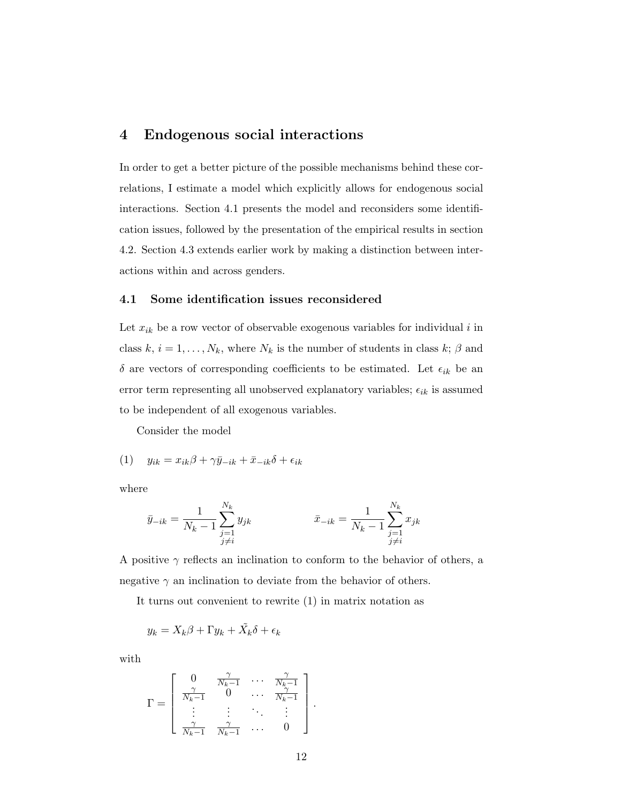#### 4 Endogenous social interactions

In order to get a better picture of the possible mechanisms behind these correlations, I estimate a model which explicitly allows for endogenous social interactions. Section 4.1 presents the model and reconsiders some identification issues, followed by the presentation of the empirical results in section 4.2. Section 4.3 extends earlier work by making a distinction between interactions within and across genders.

#### 4.1 Some identification issues reconsidered

Let  $x_{ik}$  be a row vector of observable exogenous variables for individual i in class  $k, i = 1, ..., N_k$ , where  $N_k$  is the number of students in class  $k; \beta$  and  $\delta$  are vectors of corresponding coefficients to be estimated. Let  $\epsilon_{ik}$  be an error term representing all unobserved explanatory variables;  $\epsilon_{ik}$  is assumed to be independent of all exogenous variables.

Consider the model

(1) 
$$
y_{ik} = x_{ik}\beta + \gamma \bar{y}_{-ik} + \bar{x}_{-ik}\delta + \epsilon_{ik}
$$

where

$$
\bar{y}_{-ik} = \frac{1}{N_k - 1} \sum_{\substack{j=1 \ j \neq i}}^{N_k} y_{jk} \qquad \qquad \bar{x}_{-ik} = \frac{1}{N_k - 1} \sum_{\substack{j=1 \ j \neq i}}^{N_k} x_{jk}
$$

A positive  $\gamma$  reflects an inclination to conform to the behavior of others, a negative  $\gamma$  an inclination to deviate from the behavior of others.

It turns out convenient to rewrite (1) in matrix notation as

$$
y_k = X_k \beta + \Gamma y_k + \tilde{X_k} \delta + \epsilon_k
$$

with

$$
\Gamma = \left[ \begin{array}{cccc} 0 & \frac{\gamma}{N_k - 1} & \cdots & \frac{\gamma}{N_k - 1} \\ \frac{\gamma}{N_k - 1} & 0 & \cdots & \frac{\gamma}{N_k - 1} \\ \vdots & \vdots & \ddots & \vdots \\ \frac{\gamma}{N_k - 1} & \frac{\gamma}{N_k - 1} & \cdots & 0 \end{array} \right].
$$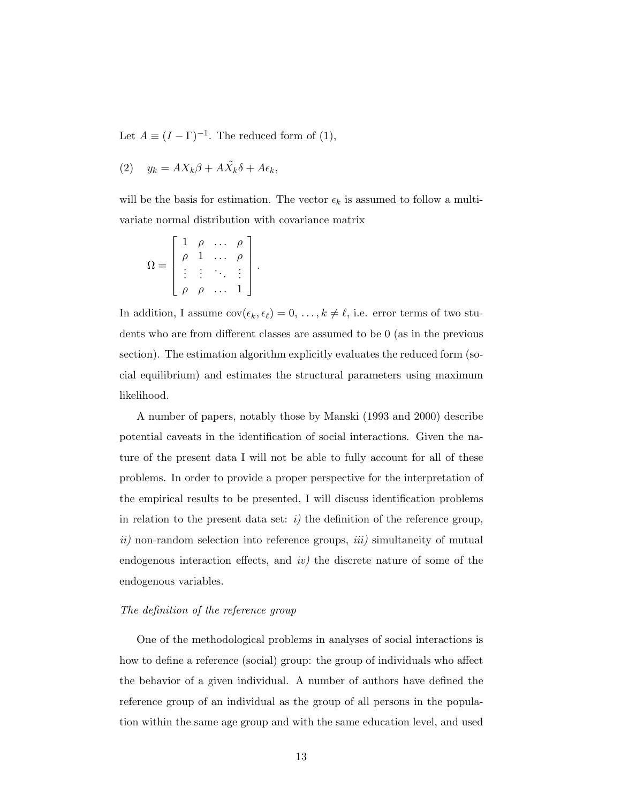Let  $A \equiv (I - \Gamma)^{-1}$ . The reduced form of (1),

$$
(2) \t y_k = AX_k\beta + A\tilde{X}_k\delta + A\epsilon_k,
$$

will be the basis for estimation. The vector  $\epsilon_k$  is assumed to follow a multivariate normal distribution with covariance matrix

$$
\Omega = \left[ \begin{array}{cccc} 1 & \rho & \dots & \rho \\ \rho & 1 & \dots & \rho \\ \vdots & \vdots & \ddots & \vdots \\ \rho & \rho & \dots & 1 \end{array} \right].
$$

In addition, I assume  $cov(\epsilon_k, \epsilon_\ell) = 0, \ldots, k \neq \ell$ , i.e. error terms of two students who are from different classes are assumed to be 0 (as in the previous section). The estimation algorithm explicitly evaluates the reduced form (social equilibrium) and estimates the structural parameters using maximum likelihood.

A number of papers, notably those by Manski (1993 and 2000) describe potential caveats in the identification of social interactions. Given the nature of the present data I will not be able to fully account for all of these problems. In order to provide a proper perspective for the interpretation of the empirical results to be presented, I will discuss identification problems in relation to the present data set:  $i$ ) the definition of the reference group,  $ii)$  non-random selection into reference groups,  $iii)$  simultaneity of mutual endogenous interaction effects, and  $iv$ ) the discrete nature of some of the endogenous variables.

#### The definition of the reference group

One of the methodological problems in analyses of social interactions is how to define a reference (social) group: the group of individuals who affect the behavior of a given individual. A number of authors have defined the reference group of an individual as the group of all persons in the population within the same age group and with the same education level, and used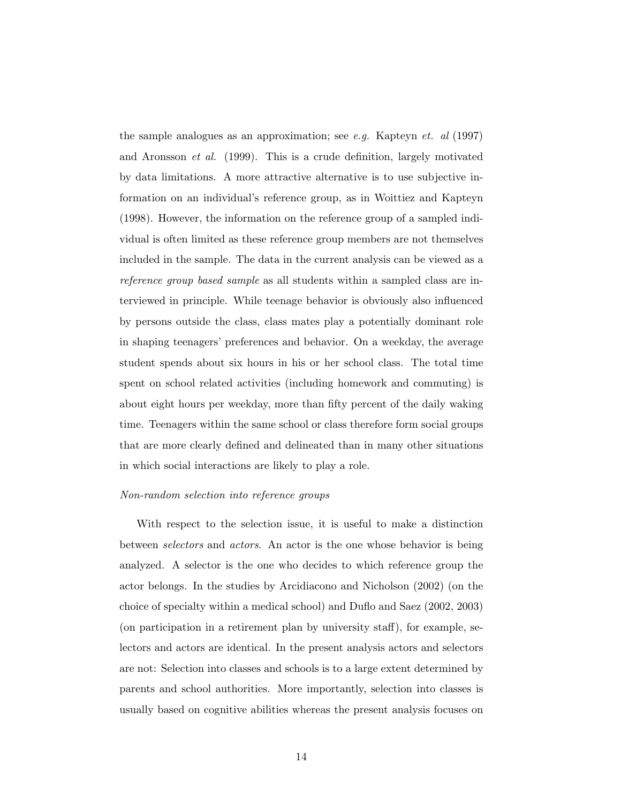the sample analogues as an approximation; see e.g. Kapteyn et. al  $(1997)$ and Aronsson et al. (1999). This is a crude definition, largely motivated by data limitations. A more attractive alternative is to use subjective information on an individual's reference group, as in Woittiez and Kapteyn (1998). However, the information on the reference group of a sampled individual is often limited as these reference group members are not themselves included in the sample. The data in the current analysis can be viewed as a reference group based sample as all students within a sampled class are interviewed in principle. While teenage behavior is obviously also influenced by persons outside the class, class mates play a potentially dominant role in shaping teenagers' preferences and behavior. On a weekday, the average student spends about six hours in his or her school class. The total time spent on school related activities (including homework and commuting) is about eight hours per weekday, more than fifty percent of the daily waking time. Teenagers within the same school or class therefore form social groups that are more clearly defined and delineated than in many other situations in which social interactions are likely to play a role.

#### Non-random selection into reference groups

With respect to the selection issue, it is useful to make a distinction between selectors and actors. An actor is the one whose behavior is being analyzed. A selector is the one who decides to which reference group the actor belongs. In the studies by Arcidiacono and Nicholson (2002) (on the choice of specialty within a medical school) and Duflo and Saez (2002, 2003) (on participation in a retirement plan by university staff), for example, selectors and actors are identical. In the present analysis actors and selectors are not: Selection into classes and schools is to a large extent determined by parents and school authorities. More importantly, selection into classes is usually based on cognitive abilities whereas the present analysis focuses on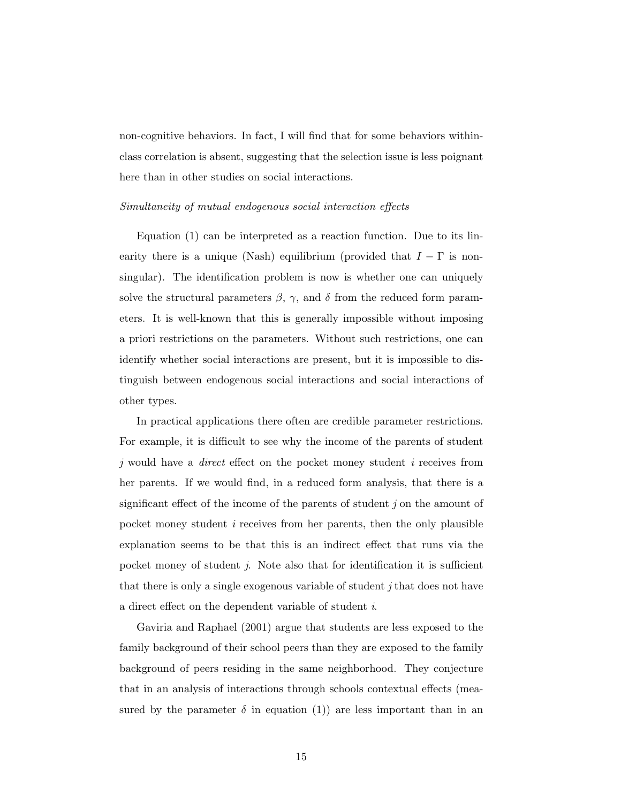non-cognitive behaviors. In fact, I will find that for some behaviors withinclass correlation is absent, suggesting that the selection issue is less poignant here than in other studies on social interactions.

#### Simultaneity of mutual endogenous social interaction effects

Equation (1) can be interpreted as a reaction function. Due to its linearity there is a unique (Nash) equilibrium (provided that  $I - \Gamma$  is nonsingular). The identification problem is now is whether one can uniquely solve the structural parameters  $\beta$ ,  $\gamma$ , and  $\delta$  from the reduced form parameters. It is well-known that this is generally impossible without imposing a priori restrictions on the parameters. Without such restrictions, one can identify whether social interactions are present, but it is impossible to distinguish between endogenous social interactions and social interactions of other types.

In practical applications there often are credible parameter restrictions. For example, it is difficult to see why the income of the parents of student j would have a direct effect on the pocket money student i receives from her parents. If we would find, in a reduced form analysis, that there is a significant effect of the income of the parents of student j on the amount of pocket money student i receives from her parents, then the only plausible explanation seems to be that this is an indirect effect that runs via the pocket money of student j. Note also that for identification it is sufficient that there is only a single exogenous variable of student j that does not have a direct effect on the dependent variable of student i.

Gaviria and Raphael (2001) argue that students are less exposed to the family background of their school peers than they are exposed to the family background of peers residing in the same neighborhood. They conjecture that in an analysis of interactions through schools contextual effects (measured by the parameter  $\delta$  in equation (1)) are less important than in an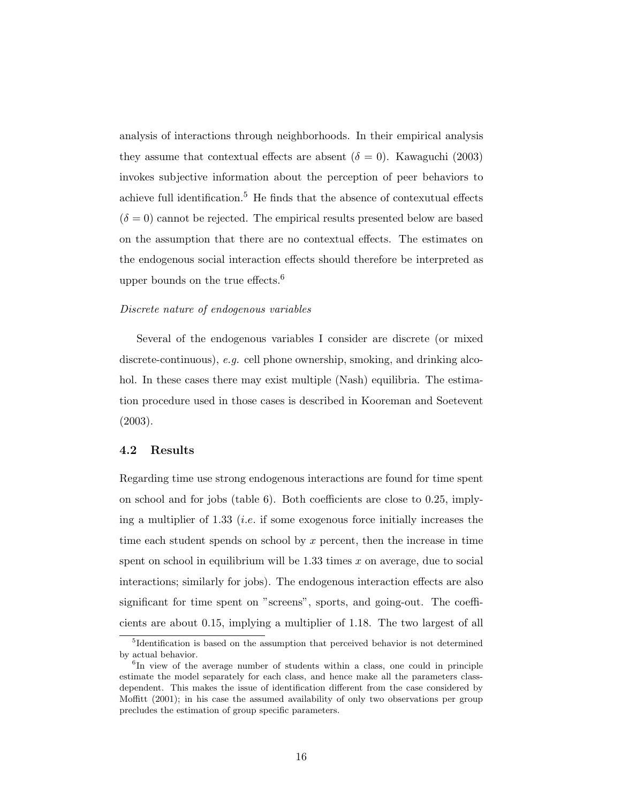analysis of interactions through neighborhoods. In their empirical analysis they assume that contextual effects are absent ( $\delta = 0$ ). Kawaguchi (2003) invokes subjective information about the perception of peer behaviors to achieve full identification.<sup>5</sup> He finds that the absence of contexutual effects  $(\delta = 0)$  cannot be rejected. The empirical results presented below are based on the assumption that there are no contextual effects. The estimates on the endogenous social interaction effects should therefore be interpreted as upper bounds on the true effects.<sup>6</sup>

#### Discrete nature of endogenous variables

Several of the endogenous variables I consider are discrete (or mixed discrete-continuous), e.g. cell phone ownership, smoking, and drinking alcohol. In these cases there may exist multiple (Nash) equilibria. The estimation procedure used in those cases is described in Kooreman and Soetevent (2003).

#### 4.2 Results

Regarding time use strong endogenous interactions are found for time spent on school and for jobs (table 6). Both coefficients are close to 0.25, implying a multiplier of 1.33 *(i.e.* if some exogenous force initially increases the time each student spends on school by  $x$  percent, then the increase in time spent on school in equilibrium will be  $1.33$  times x on average, due to social interactions; similarly for jobs). The endogenous interaction effects are also significant for time spent on "screens", sports, and going-out. The coefficients are about 0.15, implying a multiplier of 1.18. The two largest of all

<sup>&</sup>lt;sup>5</sup>Identification is based on the assumption that perceived behavior is not determined by actual behavior.

<sup>&</sup>lt;sup>6</sup>In view of the average number of students within a class, one could in principle estimate the model separately for each class, and hence make all the parameters classdependent. This makes the issue of identification different from the case considered by Moffitt (2001); in his case the assumed availability of only two observations per group precludes the estimation of group specific parameters.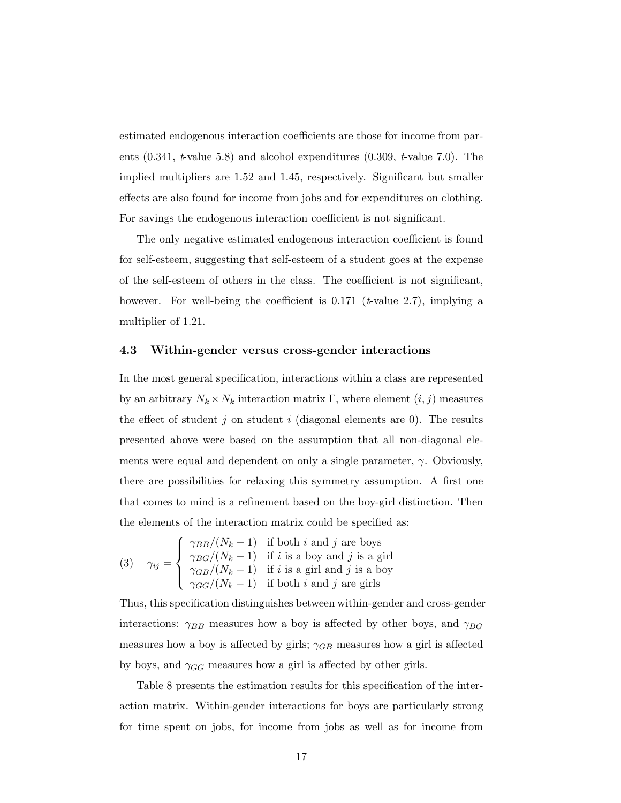estimated endogenous interaction coefficients are those for income from parents  $(0.341, t$ -value 5.8) and alcohol expenditures  $(0.309, t$ -value 7.0). The implied multipliers are 1.52 and 1.45, respectively. Significant but smaller effects are also found for income from jobs and for expenditures on clothing. For savings the endogenous interaction coefficient is not significant.

The only negative estimated endogenous interaction coefficient is found for self-esteem, suggesting that self-esteem of a student goes at the expense of the self-esteem of others in the class. The coefficient is not significant, however. For well-being the coefficient is 0.171 ( $t$ -value 2.7), implying a multiplier of 1.21.

#### 4.3 Within-gender versus cross-gender interactions

In the most general specification, interactions within a class are represented by an arbitrary  $N_k \times N_k$  interaction matrix  $\Gamma$ , where element  $(i, j)$  measures the effect of student j on student i (diagonal elements are 0). The results presented above were based on the assumption that all non-diagonal elements were equal and dependent on only a single parameter,  $\gamma$ . Obviously, there are possibilities for relaxing this symmetry assumption. A first one that comes to mind is a refinement based on the boy-girl distinction. Then the elements of the interaction matrix could be specified as:

(3) 
$$
\gamma_{ij} = \begin{cases} \gamma_{BB}/(N_k - 1) & \text{if both } i \text{ and } j \text{ are boys} \\ \gamma_{BG}/(N_k - 1) & \text{if } i \text{ is a boy and } j \text{ is a girl} \\ \gamma_{GB}/(N_k - 1) & \text{if } i \text{ is a girl and } j \text{ is a boy} \\ \gamma_{GG}/(N_k - 1) & \text{if both } i \text{ and } j \text{ are girls} \end{cases}
$$

Thus, this specification distinguishes between within-gender and cross-gender interactions:  $\gamma_{BB}$  measures how a boy is affected by other boys, and  $\gamma_{BG}$ measures how a boy is affected by girls;  $\gamma_{GB}$  measures how a girl is affected by boys, and  $\gamma_{GG}$  measures how a girl is affected by other girls.

Table 8 presents the estimation results for this specification of the interaction matrix. Within-gender interactions for boys are particularly strong for time spent on jobs, for income from jobs as well as for income from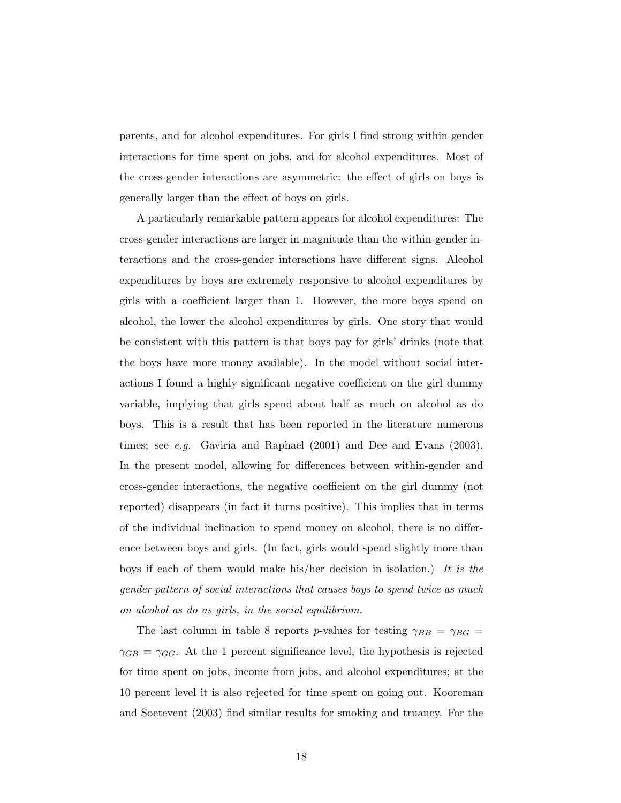parents, and for alcohol expenditures. For girls I find strong within-gender interactions for time spent on jobs, and for alcohol expenditures. Most of the cross-gender interactions are asymmetric: the effect of girls on boys is generally larger than the effect of boys on girls.

A particularly remarkable pattern appears for alcohol expenditures: The cross-gender interactions are larger in magnitude than the within-gender interactions and the cross-gender interactions have different signs. Alcohol expenditures by boys are extremely responsive to alcohol expenditures by girls with a coefficient larger than 1. However, the more boys spend on alcohol, the lower the alcohol expenditures by girls. One story that would be consistent with this pattern is that boys pay for girls' drinks (note that the boys have more money available). In the model without social interactions I found a highly significant negative coefficient on the girl dummy variable, implying that girls spend about half as much on alcohol as do boys. This is a result that has been reported in the literature numerous times; see e.g. Gaviria and Raphael (2001) and Dee and Evans (2003). In the present model, allowing for differences between within-gender and cross-gender interactions, the negative coefficient on the girl dummy (not reported) disappears (in fact it turns positive). This implies that in terms of the individual inclination to spend money on alcohol, there is no difference between boys and girls. (In fact, girls would spend slightly more than boys if each of them would make his/her decision in isolation.) It is the gender pattern of social interactions that causes boys to spend twice as much on alcohol as do as girls, in the social equilibrium.

The last column in table 8 reports p-values for testing  $\gamma_{BB} = \gamma_{BG} =$  $\gamma_{GB} = \gamma_{GG}$ . At the 1 percent significance level, the hypothesis is rejected for time spent on jobs, income from jobs, and alcohol expenditures; at the 10 percent level it is also rejected for time spent on going out. Kooreman and Soetevent (2003) find similar results for smoking and truancy. For the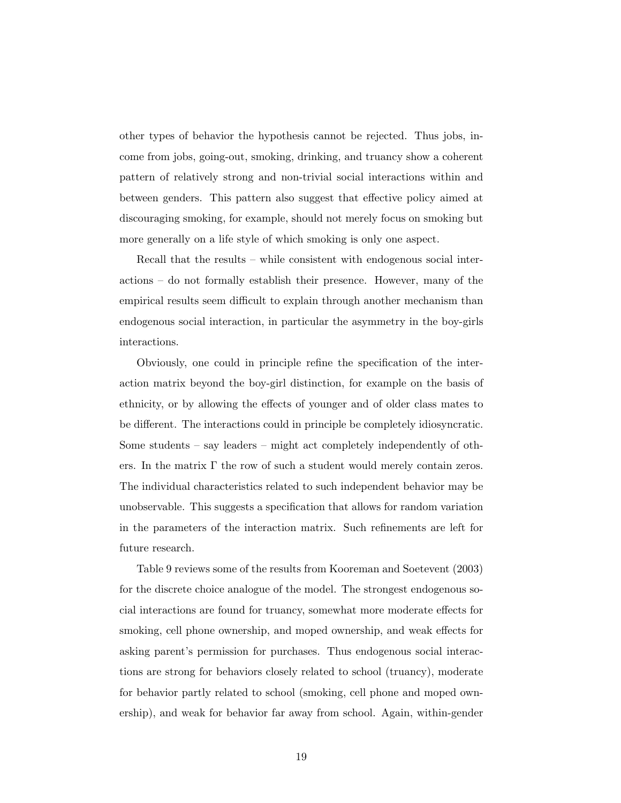other types of behavior the hypothesis cannot be rejected. Thus jobs, income from jobs, going-out, smoking, drinking, and truancy show a coherent pattern of relatively strong and non-trivial social interactions within and between genders. This pattern also suggest that effective policy aimed at discouraging smoking, for example, should not merely focus on smoking but more generally on a life style of which smoking is only one aspect.

Recall that the results – while consistent with endogenous social interactions – do not formally establish their presence. However, many of the empirical results seem difficult to explain through another mechanism than endogenous social interaction, in particular the asymmetry in the boy-girls interactions.

Obviously, one could in principle refine the specification of the interaction matrix beyond the boy-girl distinction, for example on the basis of ethnicity, or by allowing the effects of younger and of older class mates to be different. The interactions could in principle be completely idiosyncratic. Some students – say leaders – might act completely independently of others. In the matrix  $\Gamma$  the row of such a student would merely contain zeros. The individual characteristics related to such independent behavior may be unobservable. This suggests a specification that allows for random variation in the parameters of the interaction matrix. Such refinements are left for future research.

Table 9 reviews some of the results from Kooreman and Soetevent (2003) for the discrete choice analogue of the model. The strongest endogenous social interactions are found for truancy, somewhat more moderate effects for smoking, cell phone ownership, and moped ownership, and weak effects for asking parent's permission for purchases. Thus endogenous social interactions are strong for behaviors closely related to school (truancy), moderate for behavior partly related to school (smoking, cell phone and moped ownership), and weak for behavior far away from school. Again, within-gender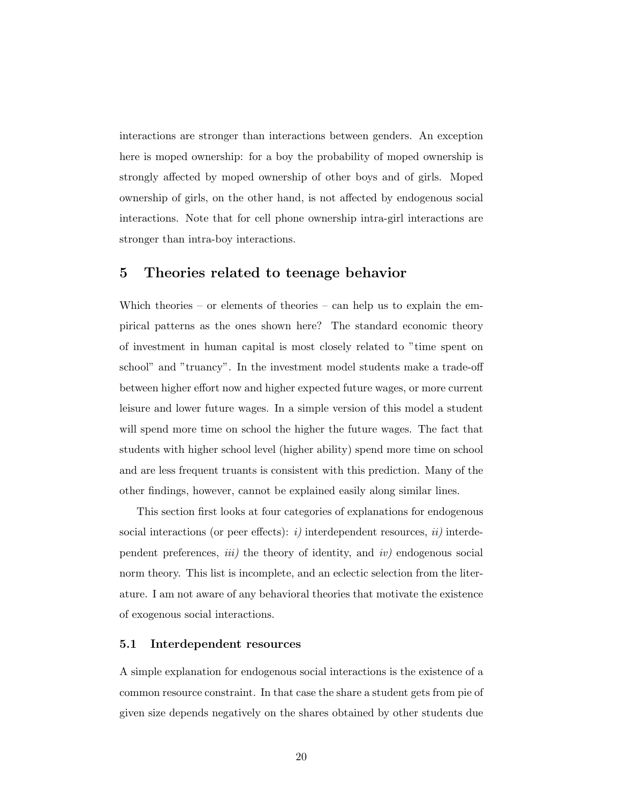interactions are stronger than interactions between genders. An exception here is moped ownership: for a boy the probability of moped ownership is strongly affected by moped ownership of other boys and of girls. Moped ownership of girls, on the other hand, is not affected by endogenous social interactions. Note that for cell phone ownership intra-girl interactions are stronger than intra-boy interactions.

#### 5 Theories related to teenage behavior

Which theories – or elements of theories – can help us to explain the empirical patterns as the ones shown here? The standard economic theory of investment in human capital is most closely related to "time spent on school" and "truancy". In the investment model students make a trade-off between higher effort now and higher expected future wages, or more current leisure and lower future wages. In a simple version of this model a student will spend more time on school the higher the future wages. The fact that students with higher school level (higher ability) spend more time on school and are less frequent truants is consistent with this prediction. Many of the other findings, however, cannot be explained easily along similar lines.

This section first looks at four categories of explanations for endogenous social interactions (or peer effects):  $i$ ) interdependent resources,  $ii$ ) interdependent preferences, *iii*) the theory of identity, and *iv*) endogenous social norm theory. This list is incomplete, and an eclectic selection from the literature. I am not aware of any behavioral theories that motivate the existence of exogenous social interactions.

#### 5.1 Interdependent resources

A simple explanation for endogenous social interactions is the existence of a common resource constraint. In that case the share a student gets from pie of given size depends negatively on the shares obtained by other students due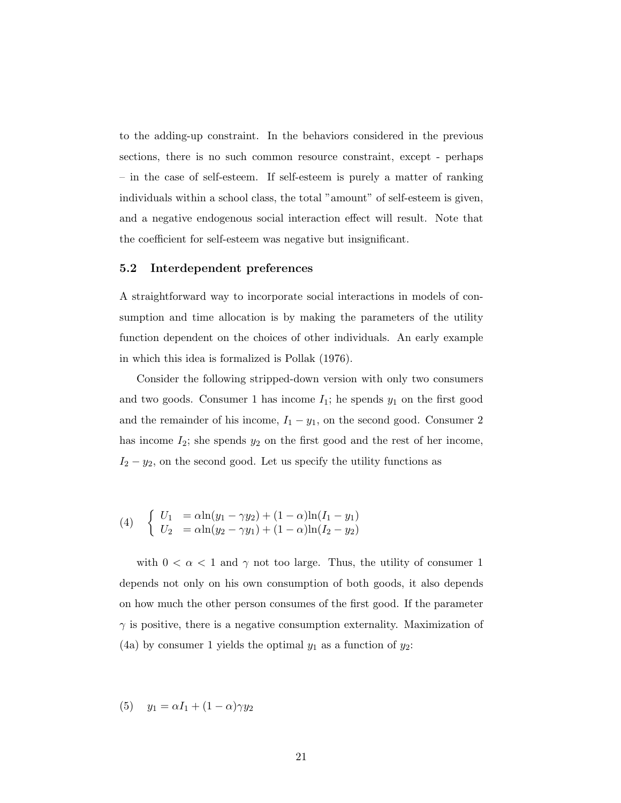to the adding-up constraint. In the behaviors considered in the previous sections, there is no such common resource constraint, except - perhaps – in the case of self-esteem. If self-esteem is purely a matter of ranking individuals within a school class, the total "amount" of self-esteem is given, and a negative endogenous social interaction effect will result. Note that the coefficient for self-esteem was negative but insignificant.

#### 5.2 Interdependent preferences

A straightforward way to incorporate social interactions in models of consumption and time allocation is by making the parameters of the utility function dependent on the choices of other individuals. An early example in which this idea is formalized is Pollak (1976).

Consider the following stripped-down version with only two consumers and two goods. Consumer 1 has income  $I_1$ ; he spends  $y_1$  on the first good and the remainder of his income,  $I_1 - y_1$ , on the second good. Consumer 2 has income  $I_2$ ; she spends  $y_2$  on the first good and the rest of her income,  $I_2 - y_2$ , on the second good. Let us specify the utility functions as

(4) 
$$
\begin{cases} U_1 = \alpha \ln(y_1 - \gamma y_2) + (1 - \alpha) \ln(I_1 - y_1) \\ U_2 = \alpha \ln(y_2 - \gamma y_1) + (1 - \alpha) \ln(I_2 - y_2) \end{cases}
$$

with  $0 < \alpha < 1$  and  $\gamma$  not too large. Thus, the utility of consumer 1 depends not only on his own consumption of both goods, it also depends on how much the other person consumes of the first good. If the parameter  $\gamma$  is positive, there is a negative consumption externality. Maximization of (4a) by consumer 1 yields the optimal  $y_1$  as a function of  $y_2$ :

(5)  $y_1 = \alpha I_1 + (1 - \alpha)\gamma y_2$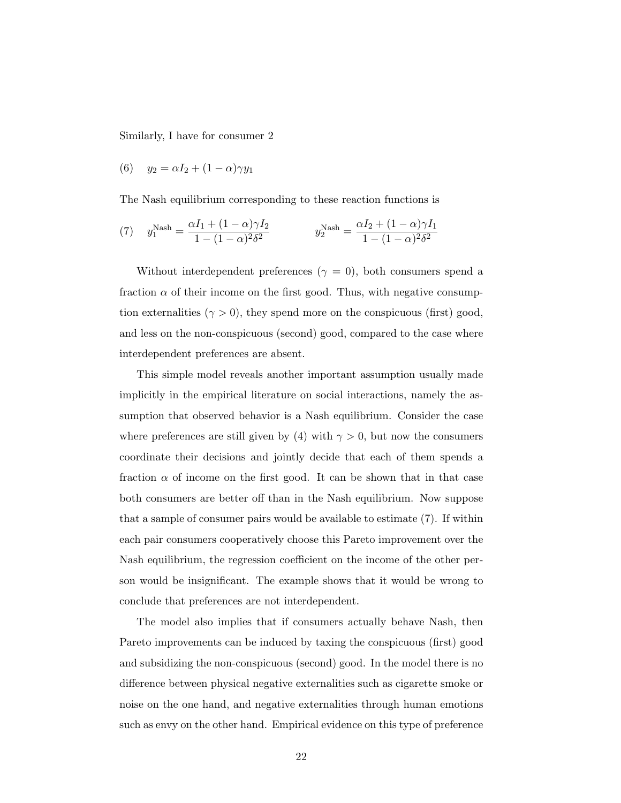Similarly, I have for consumer 2

$$
(6) \quad y_2 = \alpha I_2 + (1 - \alpha)\gamma y_1
$$

The Nash equilibrium corresponding to these reaction functions is

(7) 
$$
y_1^{\text{Nash}} = \frac{\alpha I_1 + (1 - \alpha)\gamma I_2}{1 - (1 - \alpha)^2 \delta^2}
$$
  $y_2^{\text{Nash}} = \frac{\alpha I_2 + (1 - \alpha)\gamma I_1}{1 - (1 - \alpha)^2 \delta^2}$ 

Without interdependent preferences ( $\gamma = 0$ ), both consumers spend a fraction  $\alpha$  of their income on the first good. Thus, with negative consumption externalities  $(\gamma > 0)$ , they spend more on the conspicuous (first) good, and less on the non-conspicuous (second) good, compared to the case where interdependent preferences are absent.

This simple model reveals another important assumption usually made implicitly in the empirical literature on social interactions, namely the assumption that observed behavior is a Nash equilibrium. Consider the case where preferences are still given by (4) with  $\gamma > 0$ , but now the consumers coordinate their decisions and jointly decide that each of them spends a fraction  $\alpha$  of income on the first good. It can be shown that in that case both consumers are better off than in the Nash equilibrium. Now suppose that a sample of consumer pairs would be available to estimate (7). If within each pair consumers cooperatively choose this Pareto improvement over the Nash equilibrium, the regression coefficient on the income of the other person would be insignificant. The example shows that it would be wrong to conclude that preferences are not interdependent.

The model also implies that if consumers actually behave Nash, then Pareto improvements can be induced by taxing the conspicuous (first) good and subsidizing the non-conspicuous (second) good. In the model there is no difference between physical negative externalities such as cigarette smoke or noise on the one hand, and negative externalities through human emotions such as envy on the other hand. Empirical evidence on this type of preference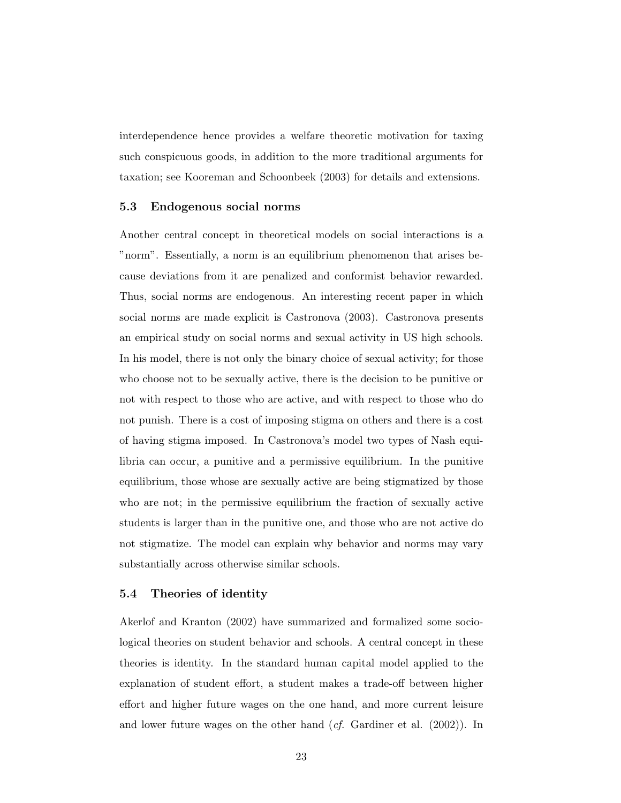interdependence hence provides a welfare theoretic motivation for taxing such conspicuous goods, in addition to the more traditional arguments for taxation; see Kooreman and Schoonbeek (2003) for details and extensions.

#### 5.3 Endogenous social norms

Another central concept in theoretical models on social interactions is a "norm". Essentially, a norm is an equilibrium phenomenon that arises because deviations from it are penalized and conformist behavior rewarded. Thus, social norms are endogenous. An interesting recent paper in which social norms are made explicit is Castronova (2003). Castronova presents an empirical study on social norms and sexual activity in US high schools. In his model, there is not only the binary choice of sexual activity; for those who choose not to be sexually active, there is the decision to be punitive or not with respect to those who are active, and with respect to those who do not punish. There is a cost of imposing stigma on others and there is a cost of having stigma imposed. In Castronova's model two types of Nash equilibria can occur, a punitive and a permissive equilibrium. In the punitive equilibrium, those whose are sexually active are being stigmatized by those who are not; in the permissive equilibrium the fraction of sexually active students is larger than in the punitive one, and those who are not active do not stigmatize. The model can explain why behavior and norms may vary substantially across otherwise similar schools.

#### 5.4 Theories of identity

Akerlof and Kranton (2002) have summarized and formalized some sociological theories on student behavior and schools. A central concept in these theories is identity. In the standard human capital model applied to the explanation of student effort, a student makes a trade-off between higher effort and higher future wages on the one hand, and more current leisure and lower future wages on the other hand  $(cf.$  Gardiner et al. (2002)). In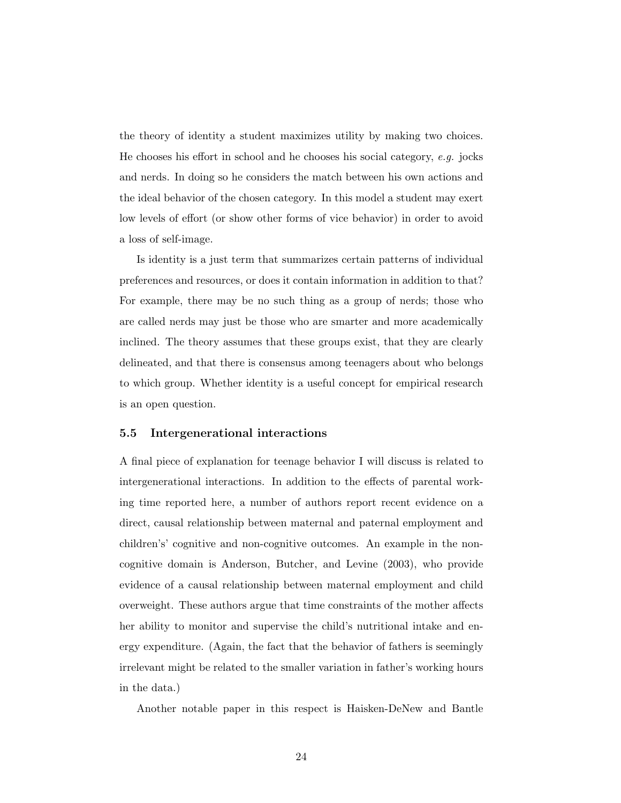the theory of identity a student maximizes utility by making two choices. He chooses his effort in school and he chooses his social category, e.g. jocks and nerds. In doing so he considers the match between his own actions and the ideal behavior of the chosen category. In this model a student may exert low levels of effort (or show other forms of vice behavior) in order to avoid a loss of self-image.

Is identity is a just term that summarizes certain patterns of individual preferences and resources, or does it contain information in addition to that? For example, there may be no such thing as a group of nerds; those who are called nerds may just be those who are smarter and more academically inclined. The theory assumes that these groups exist, that they are clearly delineated, and that there is consensus among teenagers about who belongs to which group. Whether identity is a useful concept for empirical research is an open question.

#### 5.5 Intergenerational interactions

A final piece of explanation for teenage behavior I will discuss is related to intergenerational interactions. In addition to the effects of parental working time reported here, a number of authors report recent evidence on a direct, causal relationship between maternal and paternal employment and children's' cognitive and non-cognitive outcomes. An example in the noncognitive domain is Anderson, Butcher, and Levine (2003), who provide evidence of a causal relationship between maternal employment and child overweight. These authors argue that time constraints of the mother affects her ability to monitor and supervise the child's nutritional intake and energy expenditure. (Again, the fact that the behavior of fathers is seemingly irrelevant might be related to the smaller variation in father's working hours in the data.)

Another notable paper in this respect is Haisken-DeNew and Bantle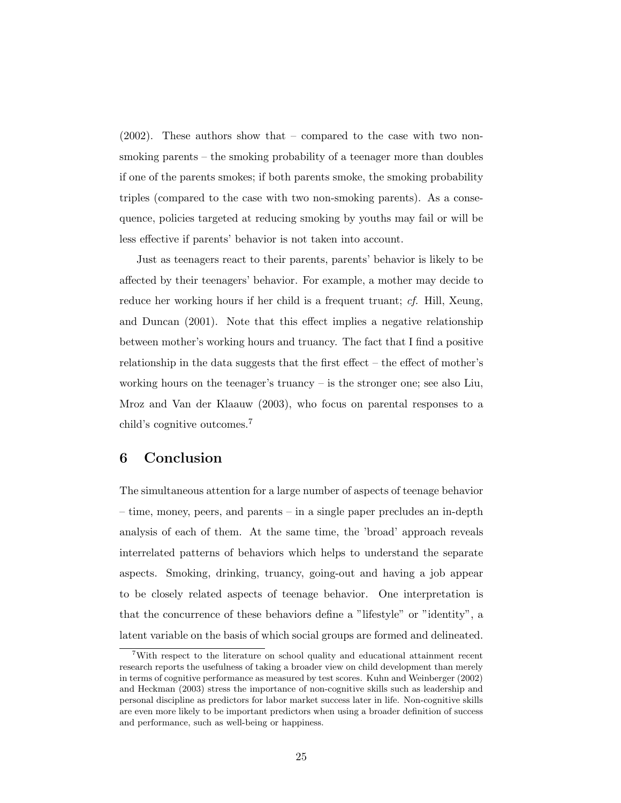(2002). These authors show that – compared to the case with two nonsmoking parents – the smoking probability of a teenager more than doubles if one of the parents smokes; if both parents smoke, the smoking probability triples (compared to the case with two non-smoking parents). As a consequence, policies targeted at reducing smoking by youths may fail or will be less effective if parents' behavior is not taken into account.

Just as teenagers react to their parents, parents' behavior is likely to be affected by their teenagers' behavior. For example, a mother may decide to reduce her working hours if her child is a frequent truant; cf. Hill, Xeung, and Duncan (2001). Note that this effect implies a negative relationship between mother's working hours and truancy. The fact that I find a positive relationship in the data suggests that the first effect – the effect of mother's working hours on the teenager's truancy – is the stronger one; see also Liu, Mroz and Van der Klaauw (2003), who focus on parental responses to a child's cognitive outcomes.<sup>7</sup>

#### 6 Conclusion

The simultaneous attention for a large number of aspects of teenage behavior – time, money, peers, and parents – in a single paper precludes an in-depth analysis of each of them. At the same time, the 'broad' approach reveals interrelated patterns of behaviors which helps to understand the separate aspects. Smoking, drinking, truancy, going-out and having a job appear to be closely related aspects of teenage behavior. One interpretation is that the concurrence of these behaviors define a "lifestyle" or "identity", a latent variable on the basis of which social groups are formed and delineated.

<sup>7</sup>With respect to the literature on school quality and educational attainment recent research reports the usefulness of taking a broader view on child development than merely in terms of cognitive performance as measured by test scores. Kuhn and Weinberger (2002) and Heckman (2003) stress the importance of non-cognitive skills such as leadership and personal discipline as predictors for labor market success later in life. Non-cognitive skills are even more likely to be important predictors when using a broader definition of success and performance, such as well-being or happiness.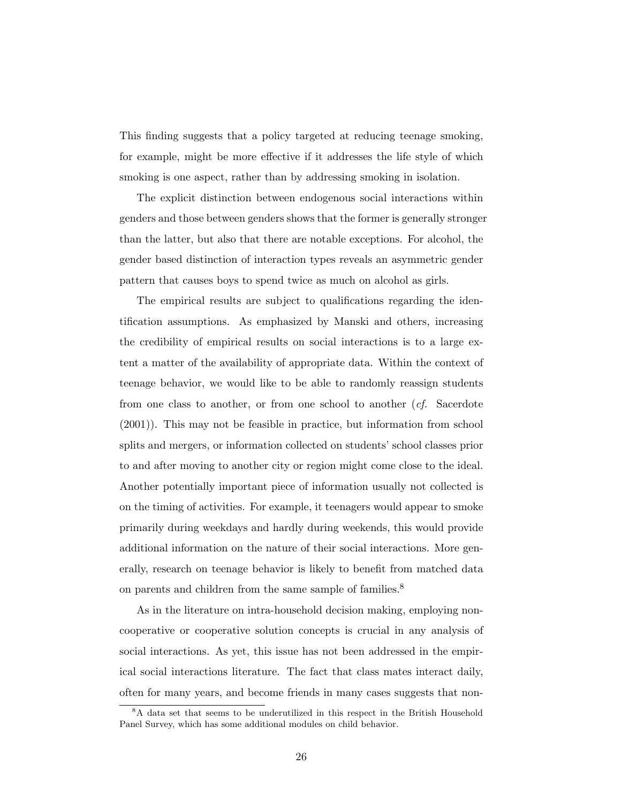This finding suggests that a policy targeted at reducing teenage smoking, for example, might be more effective if it addresses the life style of which smoking is one aspect, rather than by addressing smoking in isolation.

The explicit distinction between endogenous social interactions within genders and those between genders shows that the former is generally stronger than the latter, but also that there are notable exceptions. For alcohol, the gender based distinction of interaction types reveals an asymmetric gender pattern that causes boys to spend twice as much on alcohol as girls.

The empirical results are subject to qualifications regarding the identification assumptions. As emphasized by Manski and others, increasing the credibility of empirical results on social interactions is to a large extent a matter of the availability of appropriate data. Within the context of teenage behavior, we would like to be able to randomly reassign students from one class to another, or from one school to another (cf. Sacerdote (2001)). This may not be feasible in practice, but information from school splits and mergers, or information collected on students' school classes prior to and after moving to another city or region might come close to the ideal. Another potentially important piece of information usually not collected is on the timing of activities. For example, it teenagers would appear to smoke primarily during weekdays and hardly during weekends, this would provide additional information on the nature of their social interactions. More generally, research on teenage behavior is likely to benefit from matched data on parents and children from the same sample of families.<sup>8</sup>

As in the literature on intra-household decision making, employing noncooperative or cooperative solution concepts is crucial in any analysis of social interactions. As yet, this issue has not been addressed in the empirical social interactions literature. The fact that class mates interact daily, often for many years, and become friends in many cases suggests that non-

<sup>8</sup>A data set that seems to be underutilized in this respect in the British Household Panel Survey, which has some additional modules on child behavior.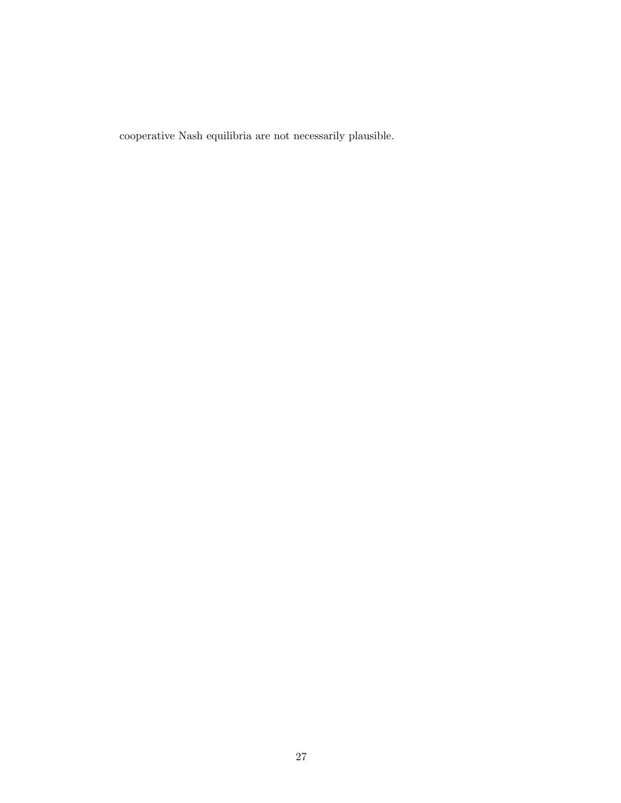cooperative Nash equilibria are not necessarily plausible.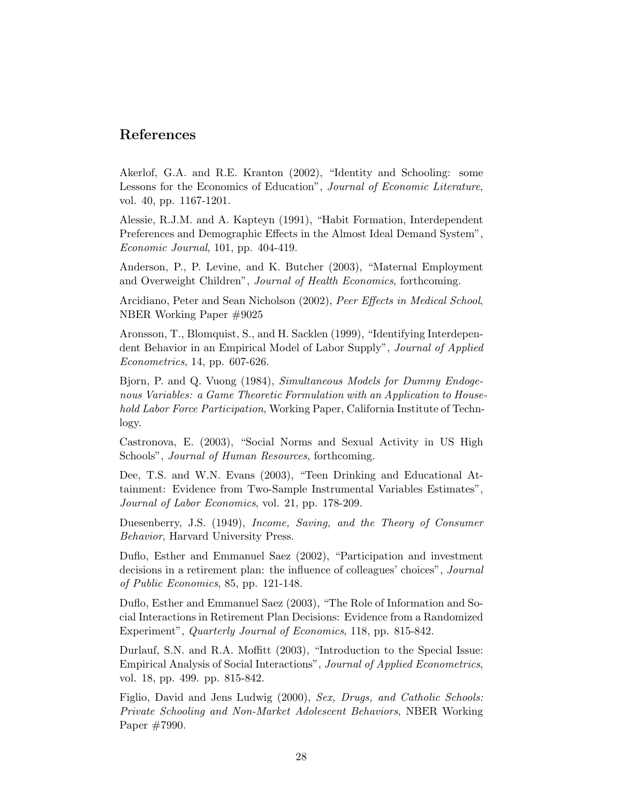#### References

Akerlof, G.A. and R.E. Kranton (2002), "Identity and Schooling: some Lessons for the Economics of Education", Journal of Economic Literature, vol. 40, pp. 1167-1201.

Alessie, R.J.M. and A. Kapteyn (1991), "Habit Formation, Interdependent Preferences and Demographic Effects in the Almost Ideal Demand System", Economic Journal, 101, pp. 404-419.

Anderson, P., P. Levine, and K. Butcher (2003), "Maternal Employment and Overweight Children", Journal of Health Economics, forthcoming.

Arcidiano, Peter and Sean Nicholson (2002), Peer Effects in Medical School, NBER Working Paper #9025

Aronsson, T., Blomquist, S., and H. Sacklen (1999), "Identifying Interdependent Behavior in an Empirical Model of Labor Supply", Journal of Applied Econometrics, 14, pp. 607-626.

Bjorn, P. and Q. Vuong (1984), Simultaneous Models for Dummy Endogenous Variables: a Game Theoretic Formulation with an Application to Household Labor Force Participation, Working Paper, California Institute of Technlogy.

Castronova, E. (2003), "Social Norms and Sexual Activity in US High Schools", *Journal of Human Resources*, forthcoming.

Dee, T.S. and W.N. Evans (2003), "Teen Drinking and Educational Attainment: Evidence from Two-Sample Instrumental Variables Estimates", Journal of Labor Economics, vol. 21, pp. 178-209.

Duesenberry, J.S. (1949), Income, Saving, and the Theory of Consumer Behavior, Harvard University Press.

Duflo, Esther and Emmanuel Saez (2002), "Participation and investment decisions in a retirement plan: the influence of colleagues' choices", *Journal* of Public Economics, 85, pp. 121-148.

Duflo, Esther and Emmanuel Saez (2003), "The Role of Information and Social Interactions in Retirement Plan Decisions: Evidence from a Randomized Experiment", Quarterly Journal of Economics, 118, pp. 815-842.

Durlauf, S.N. and R.A. Moffitt (2003), "Introduction to the Special Issue: Empirical Analysis of Social Interactions", Journal of Applied Econometrics, vol. 18, pp. 499. pp. 815-842.

Figlio, David and Jens Ludwig (2000), Sex, Drugs, and Catholic Schools: Private Schooling and Non-Market Adolescent Behaviors, NBER Working Paper #7990.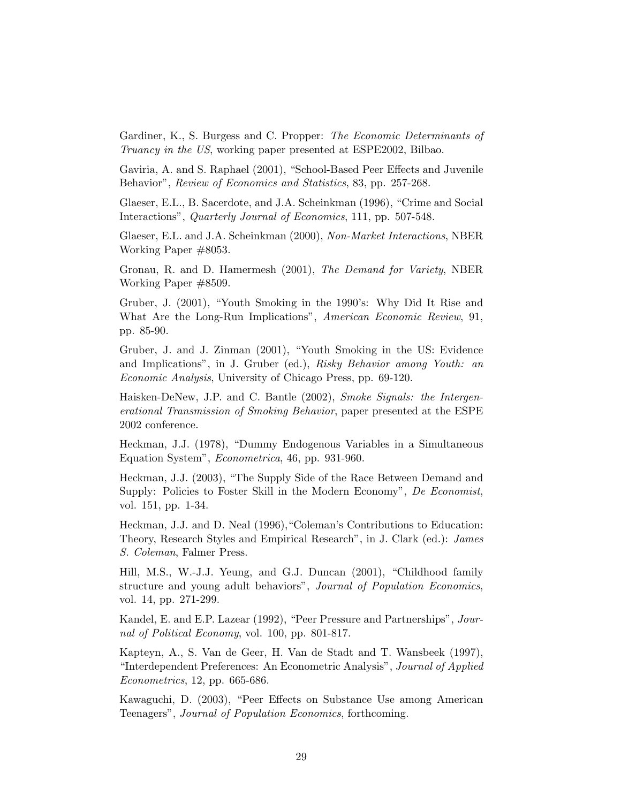Gardiner, K., S. Burgess and C. Propper: *The Economic Determinants of* Truancy in the US, working paper presented at ESPE2002, Bilbao.

Gaviria, A. and S. Raphael (2001), "School-Based Peer Effects and Juvenile Behavior", Review of Economics and Statistics, 83, pp. 257-268.

Glaeser, E.L., B. Sacerdote, and J.A. Scheinkman (1996), "Crime and Social Interactions", Quarterly Journal of Economics, 111, pp. 507-548.

Glaeser, E.L. and J.A. Scheinkman (2000), Non-Market Interactions, NBER Working Paper #8053.

Gronau, R. and D. Hamermesh (2001), The Demand for Variety, NBER Working Paper #8509.

Gruber, J. (2001), "Youth Smoking in the 1990's: Why Did It Rise and What Are the Long-Run Implications", American Economic Review, 91, pp. 85-90.

Gruber, J. and J. Zinman (2001), "Youth Smoking in the US: Evidence and Implications", in J. Gruber (ed.), Risky Behavior among Youth: an Economic Analysis, University of Chicago Press, pp. 69-120.

Haisken-DeNew, J.P. and C. Bantle (2002), Smoke Signals: the Intergenerational Transmission of Smoking Behavior, paper presented at the ESPE 2002 conference.

Heckman, J.J. (1978), "Dummy Endogenous Variables in a Simultaneous Equation System", Econometrica, 46, pp. 931-960.

Heckman, J.J. (2003), "The Supply Side of the Race Between Demand and Supply: Policies to Foster Skill in the Modern Economy", De Economist, vol. 151, pp. 1-34.

Heckman, J.J. and D. Neal (1996),"Coleman's Contributions to Education: Theory, Research Styles and Empirical Research", in J. Clark (ed.): James S. Coleman, Falmer Press.

Hill, M.S., W.-J.J. Yeung, and G.J. Duncan (2001), "Childhood family structure and young adult behaviors", Journal of Population Economics, vol. 14, pp. 271-299.

Kandel, E. and E.P. Lazear (1992), "Peer Pressure and Partnerships", Journal of Political Economy, vol. 100, pp. 801-817.

Kapteyn, A., S. Van de Geer, H. Van de Stadt and T. Wansbeek (1997), "Interdependent Preferences: An Econometric Analysis", Journal of Applied Econometrics, 12, pp. 665-686.

Kawaguchi, D. (2003), "Peer Effects on Substance Use among American Teenagers", Journal of Population Economics, forthcoming.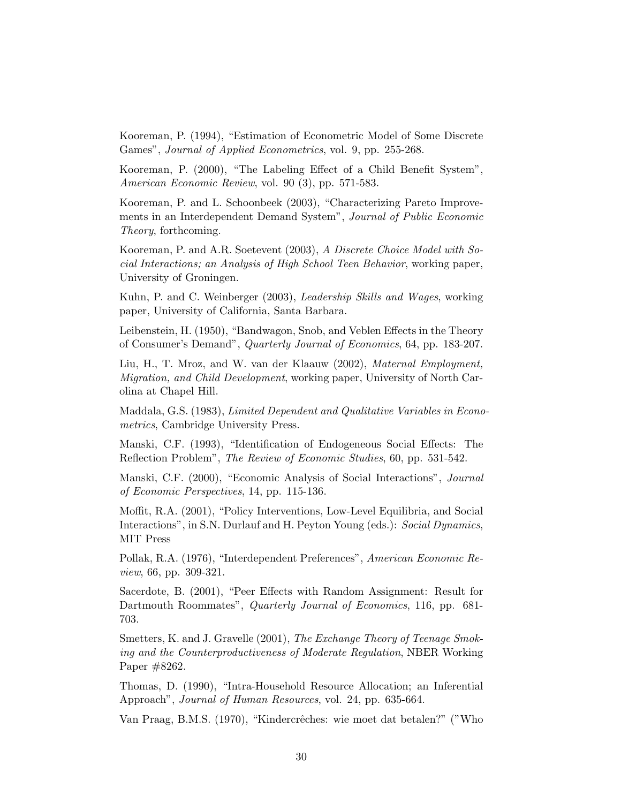Kooreman, P. (1994), "Estimation of Econometric Model of Some Discrete Games", Journal of Applied Econometrics, vol. 9, pp. 255-268.

Kooreman, P. (2000), "The Labeling Effect of a Child Benefit System", American Economic Review, vol. 90 (3), pp. 571-583.

Kooreman, P. and L. Schoonbeek (2003), "Characterizing Pareto Improvements in an Interdependent Demand System", Journal of Public Economic Theory, forthcoming.

Kooreman, P. and A.R. Soetevent (2003), A Discrete Choice Model with Social Interactions; an Analysis of High School Teen Behavior, working paper, University of Groningen.

Kuhn, P. and C. Weinberger (2003), Leadership Skills and Wages, working paper, University of California, Santa Barbara.

Leibenstein, H. (1950), "Bandwagon, Snob, and Veblen Effects in the Theory of Consumer's Demand", Quarterly Journal of Economics, 64, pp. 183-207.

Liu, H., T. Mroz, and W. van der Klaauw (2002), Maternal Employment, Migration, and Child Development, working paper, University of North Carolina at Chapel Hill.

Maddala, G.S. (1983), Limited Dependent and Qualitative Variables in Econometrics, Cambridge University Press.

Manski, C.F. (1993), "Identification of Endogeneous Social Effects: The Reflection Problem", The Review of Economic Studies, 60, pp. 531-542.

Manski, C.F. (2000), "Economic Analysis of Social Interactions", Journal of Economic Perspectives, 14, pp. 115-136.

Moffit, R.A. (2001), "Policy Interventions, Low-Level Equilibria, and Social Interactions", in S.N. Durlauf and H. Peyton Young (eds.): Social Dynamics, MIT Press

Pollak, R.A. (1976), "Interdependent Preferences", American Economic Review, 66, pp. 309-321.

Sacerdote, B. (2001), "Peer Effects with Random Assignment: Result for Dartmouth Roommates", *Quarterly Journal of Economics*, 116, pp. 681-703.

Smetters, K. and J. Gravelle (2001), The Exchange Theory of Teenage Smoking and the Counterproductiveness of Moderate Regulation, NBER Working Paper #8262.

Thomas, D. (1990), "Intra-Household Resource Allocation; an Inferential Approach", Journal of Human Resources, vol. 24, pp. 635-664.

Van Praag, B.M.S. (1970), "Kindercrêches: wie moet dat betalen?" ("Who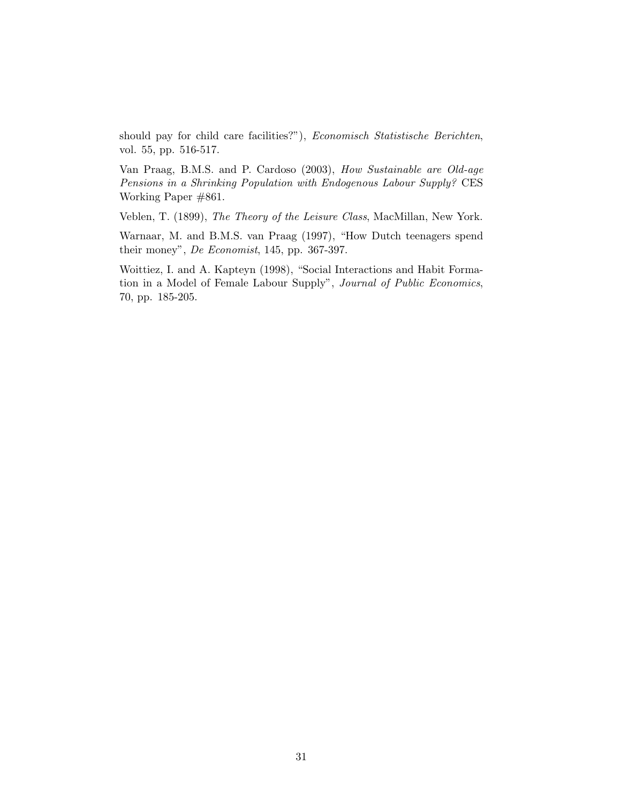should pay for child care facilities?"), Economisch Statistische Berichten, vol. 55, pp. 516-517.

Van Praag, B.M.S. and P. Cardoso (2003), How Sustainable are Old-age Pensions in a Shrinking Population with Endogenous Labour Supply? CES Working Paper #861.

Veblen, T. (1899), The Theory of the Leisure Class, MacMillan, New York.

Warnaar, M. and B.M.S. van Praag (1997), "How Dutch teenagers spend their money", De Economist, 145, pp. 367-397.

Woittiez, I. and A. Kapteyn (1998), "Social Interactions and Habit Formation in a Model of Female Labour Supply", Journal of Public Economics, 70, pp. 185-205.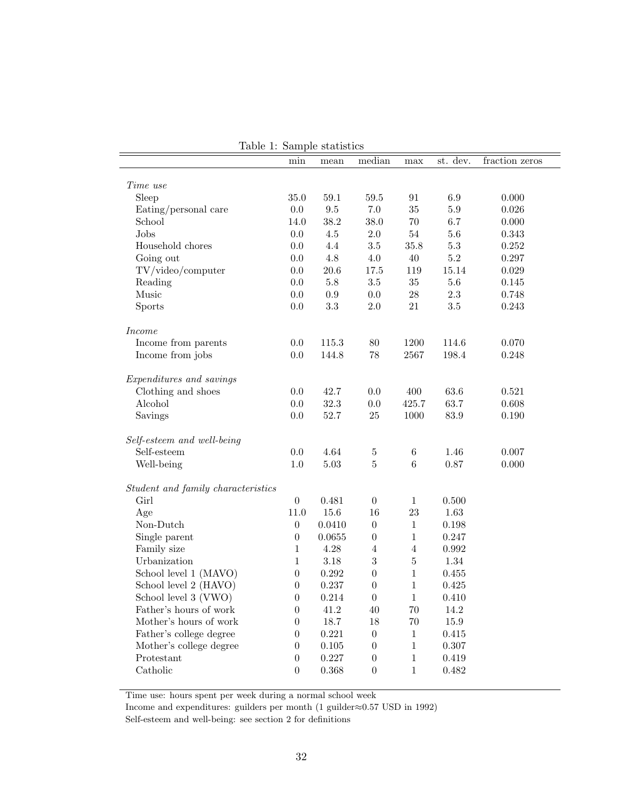|                                    |                  | rapic 1, pampic plannico |                  |              |             |                |
|------------------------------------|------------------|--------------------------|------------------|--------------|-------------|----------------|
|                                    | min              | mean                     | median           | max          | st. dev.    | fraction zeros |
| Time use                           |                  |                          |                  |              |             |                |
| Sleep                              | 35.0             | $59.1\,$                 | 59.5             | 91           | 6.9         | 0.000          |
| Eating/personal care               | $0.0\,$          | $\,9.5$                  | $7.0\,$          | 35           | $5.9\,$     | 0.026          |
| School                             | 14.0             | 38.2                     | 38.0             | 70           | 6.7         | 0.000          |
| Jobs                               | $0.0\,$          | $4.5\,$                  | $2.0\,$          | $54\,$       | 5.6         | 0.343          |
| Household chores                   | 0.0              | $4.4\,$                  | $3.5\,$          | 35.8         | $5.3\,$     | 0.252          |
| Going out                          | $0.0\,$          | $4.8\,$                  | $4.0\,$          | $40\,$       | $5.2\,$     | 0.297          |
| TV/video/computer                  | $0.0\,$          | 20.6                     | 17.5             | 119          | 15.14       | 0.029          |
| Reading                            | 0.0              | $5.8\,$                  | $3.5\,$          | 35           | $5.6\,$     | 0.145          |
| Music                              | 0.0              | $0.9\,$                  | $0.0\,$          | $28\,$       | $2.3\,$     | 0.748          |
| Sports                             | 0.0              | $3.3\,$                  | $2.0\,$          | 21           | 3.5         | 0.243          |
| <i>Income</i>                      |                  |                          |                  |              |             |                |
| Income from parents                | 0.0              | 115.3                    | $80\,$           | 1200         | 114.6       | 0.070          |
| Income from jobs                   | 0.0              | 144.8                    | $78\,$           | 2567         | 198.4       | 0.248          |
| Expenditures and savings           |                  |                          |                  |              |             |                |
| Clothing and shoes                 | 0.0              | 42.7                     | $0.0\,$          | 400          | 63.6        | 0.521          |
| Alcohol                            | $0.0\,$          | 32.3                     | $0.0\,$          | 425.7        | 63.7        | 0.608          |
| Savings                            | $0.0\,$          | 52.7                     | 25               | 1000         | 83.9        | 0.190          |
| Self-esteem and well-being         |                  |                          |                  |              |             |                |
| Self-esteem                        | $0.0\,$          | 4.64                     | $\bf 5$          | $\,6\,$      | 1.46        | 0.007          |
| Well-being                         | $1.0\,$          | 5.03                     | $\overline{5}$   | $\,6\,$      | 0.87        | 0.000          |
| Student and family characteristics |                  |                          |                  |              |             |                |
| Girl                               | $\boldsymbol{0}$ | 0.481                    | $\boldsymbol{0}$ | $\mathbf{1}$ | 0.500       |                |
| Age                                | 11.0             | 15.6                     | 16               | 23           | 1.63        |                |
| Non-Dutch                          | $\boldsymbol{0}$ | 0.0410                   | $\boldsymbol{0}$ | $1\,$        | 0.198       |                |
| Single parent                      | $\boldsymbol{0}$ | 0.0655                   | $\boldsymbol{0}$ | $1\,$        | 0.247       |                |
| Family size                        | $\,1$            | 4.28                     | $\,4\,$          | $\sqrt{4}$   | $\,0.992\,$ |                |
| Urbanization                       | $\,1$            | 3.18                     | 3                | $\bf 5$      | 1.34        |                |
| School level 1 (MAVO)              | $\boldsymbol{0}$ | 0.292                    | $\overline{0}$   | $1\,$        | 0.455       |                |
| School level 2 (HAVO)              | $\boldsymbol{0}$ | 0.237                    | $\boldsymbol{0}$ | $\mathbf{1}$ | 0.425       |                |
| School level 3 (VWO)               | $\boldsymbol{0}$ | 0.214                    | $\overline{0}$   | $\mathbf{1}$ | 0.410       |                |
| Father's hours of work             | $\boldsymbol{0}$ | 41.2                     | 40               | 70           | 14.2        |                |
| Mother's hours of work             | $\boldsymbol{0}$ | 18.7                     | 18               | $70\,$       | 15.9        |                |
| Father's college degree            | $\boldsymbol{0}$ | 0.221                    | $\boldsymbol{0}$ | $\,1\,$      | 0.415       |                |
| Mother's college degree            | $\boldsymbol{0}$ | $0.105\,$                | $\overline{0}$   | $\,1\,$      | 0.307       |                |
| Protestant                         | $\boldsymbol{0}$ | 0.227                    | $\boldsymbol{0}$ | $\,1$        | 0.419       |                |
| Catholic                           | $\overline{0}$   | 0.368                    | $\overline{0}$   | $\mathbf{1}$ | 0.482       |                |

|  |  | Table 1: Sample statistics |
|--|--|----------------------------|
|--|--|----------------------------|

Time use: hours spent per week during a normal school week

Income and expenditures: guilders per month (1 guilder $\approx 0.57$  USD in 1992)

Self-esteem and well-being: see section 2 for definitions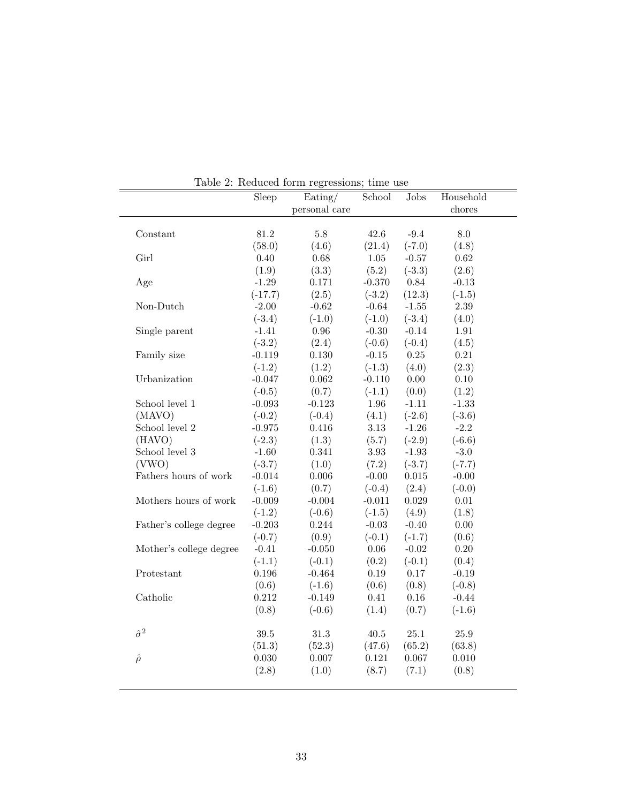|                         | Sleep     | Eating/<br>personal care | School   | Jobs        | Household<br>chores |
|-------------------------|-----------|--------------------------|----------|-------------|---------------------|
|                         |           |                          |          |             |                     |
| Constant                | 81.2      | $5.8\,$                  | 42.6     | $-9.4$      | 8.0                 |
|                         | (58.0)    | (4.6)                    | (21.4)   | $(-7.0)$    | (4.8)               |
| Girl                    | 0.40      | 0.68                     | $1.05\,$ | $-0.57$     | 0.62                |
|                         | (1.9)     | (3.3)                    | (5.2)    | $(-3.3)$    | (2.6)               |
| Age                     | $-1.29$   | 0.171                    | $-0.370$ | 0.84        | $-0.13$             |
|                         | $(-17.7)$ | (2.5)                    | $(-3.2)$ | (12.3)      | $(-1.5)$            |
| Non-Dutch               | $-2.00$   | $-0.62$                  | $-0.64$  | $-1.55$     | $2.39\,$            |
|                         | $(-3.4)$  | $(-1.0)$                 | $(-1.0)$ | $(-3.4)$    | (4.0)               |
| Single parent           | $-1.41$   | $0.96\,$                 | $-0.30$  | $-0.14$     | $1.91\,$            |
|                         | $(-3.2)$  | (2.4)                    | $(-0.6)$ | $(-0.4)$    | (4.5)               |
| Family size             | $-0.119$  | 0.130                    | $-0.15$  | $0.25\,$    | 0.21                |
|                         | $(-1.2)$  | (1.2)                    | $(-1.3)$ | (4.0)       | (2.3)               |
| Urbanization            | $-0.047$  | 0.062                    | $-0.110$ | 0.00        | 0.10                |
|                         | $(-0.5)$  | (0.7)                    | $(-1.1)$ | (0.0)       | (1.2)               |
| School level 1          | $-0.093$  | $-0.123$                 | 1.96     | $-1.11$     | $-1.33$             |
| (MAVO)                  | $(-0.2)$  | $(-0.4)$                 | (4.1)    | $(-2.6)$    | $(-3.6)$            |
| School level 2          | $-0.975$  | 0.416                    | $3.13\,$ | $-1.26$     | $-2.2$              |
| (HAVO)                  | $(-2.3)$  | (1.3)                    | (5.7)    | $(-2.9)$    | $(-6.6)$            |
| School level 3          | $-1.60$   | 0.341                    | $3.93\,$ | $-1.93$     | $-3.0$              |
| (VWO)                   | $(-3.7)$  | (1.0)                    | (7.2)    | $(-3.7)$    | $(-7.7)$            |
| Fathers hours of work   | $-0.014$  | 0.006                    | $-0.00$  | $\,0.015\,$ | $-0.00$             |
|                         | $(-1.6)$  | (0.7)                    | $(-0.4)$ | (2.4)       | $(-0.0)$            |
| Mothers hours of work   | $-0.009$  | $-0.004$                 | $-0.011$ | $\,0.029\,$ | $0.01\,$            |
|                         | $(-1.2)$  | $(-0.6)$                 | $(-1.5)$ | (4.9)       | (1.8)               |
| Father's college degree | $-0.203$  | 0.244                    | $-0.03$  | $-0.40$     | 0.00                |
|                         | $(-0.7)$  | (0.9)                    | $(-0.1)$ | $(-1.7)$    | (0.6)               |
| Mother's college degree | $-0.41$   | $-0.050$                 | $0.06\,$ | $-0.02$     | 0.20                |
|                         | $(-1.1)$  | $(-0.1)$                 | (0.2)    | $(-0.1)$    | (0.4)               |
| Protestant              | 0.196     | $-0.464$                 | $0.19\,$ | $0.17\,$    | $-0.19$             |
|                         | (0.6)     | $(-1.6)$                 | (0.6)    | (0.8)       | $(-0.8)$            |
| Catholic                | 0.212     | $-0.149$                 | 0.41     | $0.16\,$    | $-0.44$             |
|                         | (0.8)     | $(-0.6)$                 | (1.4)    | (0.7)       | $(-1.6)$            |
| $\hat{\sigma}^2$        | 39.5      | $31.3\,$                 | $40.5\,$ | $25.1\,$    | $25.9\,$            |
|                         | (51.3)    | (52.3)                   | (47.6)   | (65.2)      | (63.8)              |
| $\hat{\rho}$            | 0.030     | 0.007                    | 0.121    | 0.067       | 0.010               |
|                         | (2.8)     | (1.0)                    | (8.7)    | (7.1)       | (0.8)               |

Table 2: Reduced form regressions; time use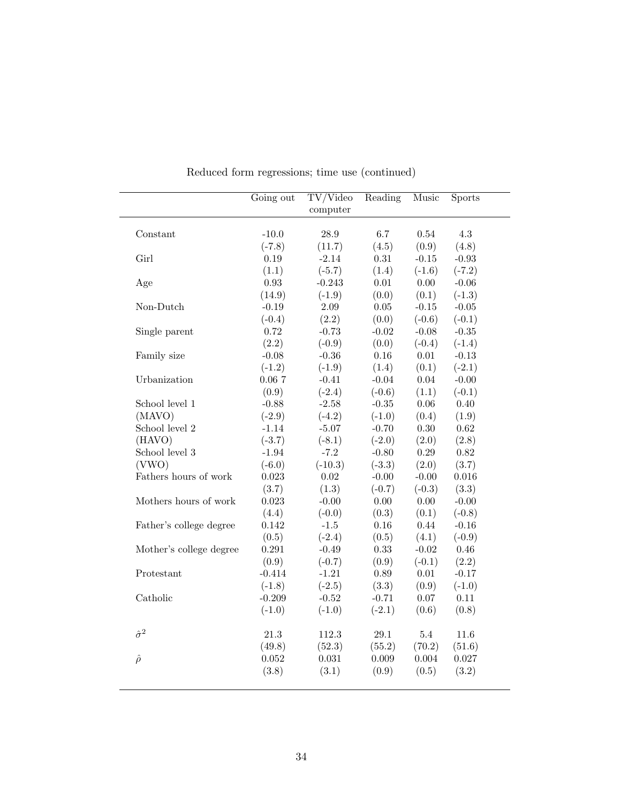|                         | Going out  | TV/Video<br>computer | Reading  | Music    | <b>Sports</b> |
|-------------------------|------------|----------------------|----------|----------|---------------|
| Constant                | $-10.0$    | 28.9                 | 6.7      | 0.54     | 4.3           |
|                         | $(-7.8)$   | (11.7)               | (4.5)    | (0.9)    | (4.8)         |
| Girl                    | 0.19       | $-2.14$              | $0.31\,$ | $-0.15$  | $-0.93$       |
|                         | (1.1)      | $(-5.7)$             | (1.4)    | $(-1.6)$ | $(-7.2)$      |
| Age                     | $\rm 0.93$ | $-0.243$             | $0.01\,$ | $0.00\,$ | $-0.06$       |
|                         | (14.9)     | $(-1.9)$             | (0.0)    | (0.1)    | $(-1.3)$      |
| Non-Dutch               | $-0.19$    | $2.09\,$             | $0.05\,$ | $-0.15$  | $-0.05$       |
|                         | $(-0.4)$   | (2.2)                | (0.0)    | $(-0.6)$ | $(-0.1)$      |
| Single parent           | 0.72       | $-0.73$              | $-0.02$  | $-0.08$  | $-0.35$       |
|                         | (2.2)      | $(-0.9)$             | (0.0)    | $(-0.4)$ | $(-1.4)$      |
| Family size             | $-0.08$    | $-0.36$              | 0.16     | 0.01     | $-0.13$       |
|                         | $(-1.2)$   | $(-1.9)$             | (1.4)    | (0.1)    | $(-2.1)$      |
| Urbanization            | 0.067      | $-0.41$              | $-0.04$  | 0.04     | $-0.00$       |
|                         | (0.9)      | $(-2.4)$             | $(-0.6)$ | (1.1)    | $(-0.1)$      |
| School level 1          | $-0.88$    | $-2.58$              | $-0.35$  | $0.06\,$ | $0.40\,$      |
| (MAVO)                  | $(-2.9)$   | $(-4.2)$             | $(-1.0)$ | (0.4)    | (1.9)         |
| School level $2$        | $-1.14$    | $-5.07$              | $-0.70$  | $0.30\,$ | $\,0.62\,$    |
| (HAVO)                  | $(-3.7)$   | $(-8.1)$             | $(-2.0)$ | (2.0)    | (2.8)         |
| School level 3          | $-1.94$    | $-7.2$               | $-0.80$  | $0.29\,$ | $\rm 0.82$    |
| (VWO)                   | $(-6.0)$   | $(-10.3)$            | $(-3.3)$ | (2.0)    | (3.7)         |
| Fathers hours of work   | 0.023      | $0.02\,$             | $-0.00$  | $-0.00$  | 0.016         |
|                         | (3.7)      | (1.3)                | $(-0.7)$ | $(-0.3)$ | (3.3)         |
| Mothers hours of work   | 0.023      | $-0.00$              | 0.00     | 0.00     | $-0.00$       |
|                         | (4.4)      | $(-0.0)$             | (0.3)    | (0.1)    | $(-0.8)$      |
| Father's college degree | 0.142      | $-1.5$               | 0.16     | 0.44     | $-0.16$       |
|                         | (0.5)      | $(-2.4)$             | (0.5)    | (4.1)    | $(-0.9)$      |
| Mother's college degree | 0.291      | $-0.49$              | 0.33     | $-0.02$  | $0.46\,$      |
|                         | (0.9)      | $(-0.7)$             | (0.9)    | $(-0.1)$ | (2.2)         |
| Protestant              | $-0.414$   | $-1.21$              | $0.89\,$ | $0.01\,$ | $-0.17$       |
|                         | $(-1.8)$   | $(-2.5)$             | (3.3)    | (0.9)    | $(-1.0)$      |
| Catholic                | $-0.209$   | $-0.52$              | $-0.71$  | $0.07\,$ | 0.11          |
|                         | $(-1.0)$   | $(-1.0)$             | $(-2.1)$ | (0.6)    | (0.8)         |
| $\hat{\sigma}^2$        | 21.3       | 112.3                | 29.1     | 5.4      | 11.6          |
|                         | (49.8)     | (52.3)               | (55.2)   | (70.2)   | (51.6)        |
| $\hat{\rho}$            | 0.052      | 0.031                | 0.009    | 0.004    | 0.027         |
|                         | (3.8)      | (3.1)                | (0.9)    | (0.5)    | (3.2)         |

Reduced form regressions; time use (continued)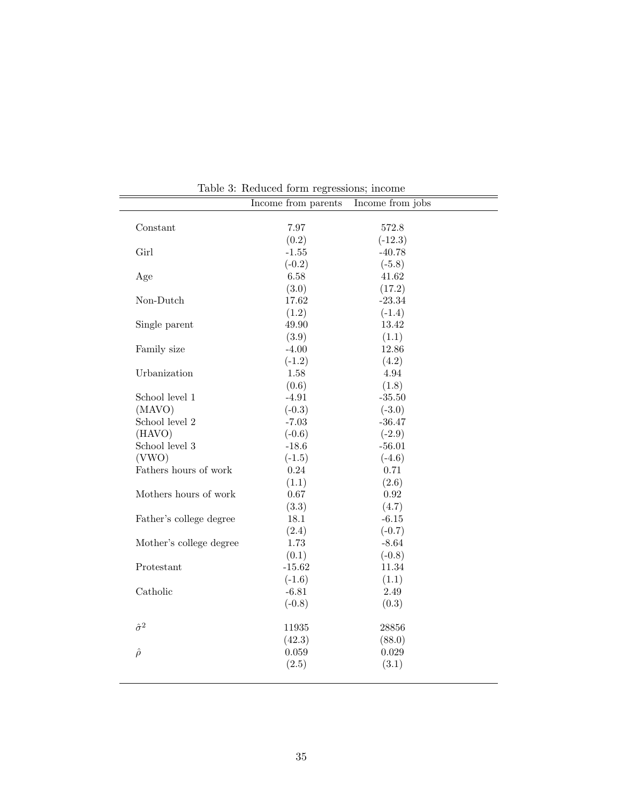|                         | Income from parents | Income from jobs |  |
|-------------------------|---------------------|------------------|--|
| Constant                | 7.97                | 572.8            |  |
|                         | (0.2)               | $(-12.3)$        |  |
| Girl                    | $-1.55$             | $-40.78$         |  |
|                         | $(-0.2)$            | $(-5.8)$         |  |
| Age                     | 6.58                | 41.62            |  |
|                         | (3.0)               | (17.2)           |  |
| Non-Dutch               | 17.62               | $-23.34$         |  |
|                         | (1.2)               | $(-1.4)$         |  |
| Single parent           | 49.90               | 13.42            |  |
|                         | (3.9)               | (1.1)            |  |
| Family size             | $-4.00$             | 12.86            |  |
|                         | $(-1.2)$            | (4.2)            |  |
| Urbanization            | 1.58                | 4.94             |  |
|                         | (0.6)               | (1.8)            |  |
| School level 1          | $-4.91$             | $-35.50$         |  |
| (MAVO)                  | $(-0.3)$            | $(-3.0)$         |  |
| School level 2          | $-7.03$             | $-36.47$         |  |
| (HAVO)                  | $(-0.6)$            | $(-2.9)$         |  |
| School level $3$        | $-18.6$             | $-56.01$         |  |
| (VWO)                   | $(-1.5)$            | $(-4.6)$         |  |
| Fathers hours of work   | 0.24                | 0.71             |  |
|                         | (1.1)               | (2.6)            |  |
| Mothers hours of work   | $0.67\,$            | $\rm 0.92$       |  |
|                         | (3.3)               | (4.7)            |  |
| Father's college degree | 18.1                | $-6.15$          |  |
|                         | (2.4)               | $(-0.7)$         |  |
| Mother's college degree | 1.73                | $-8.64$          |  |
|                         | (0.1)               | $(-0.8)$         |  |
| Protestant              | $-15.62$            | 11.34            |  |
|                         |                     |                  |  |
| Catholic                | $(-1.6)$<br>$-6.81$ | (1.1)<br>2.49    |  |
|                         |                     |                  |  |
|                         | $(-0.8)$            | (0.3)            |  |
| $\hat{\sigma}^2$        | 11935               | 28856            |  |
|                         | (42.3)              | (88.0)           |  |
| $\hat{\rho}$            | 0.059               | 0.029            |  |
|                         | (2.5)               | (3.1)            |  |
|                         |                     |                  |  |
|                         |                     |                  |  |

Table 3: Reduced form regressions; income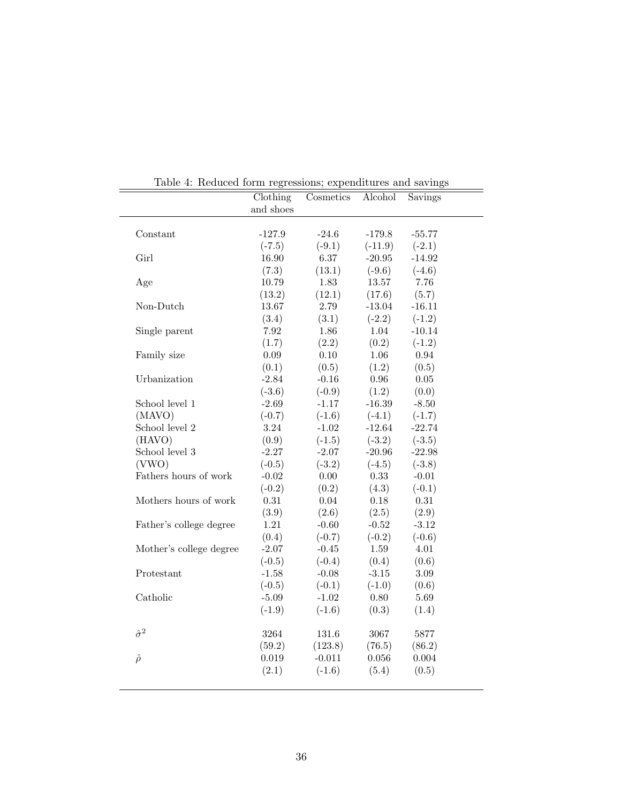|                         | Clothing<br>and shoes | Cosmetics | Alcohol   | Savings  |
|-------------------------|-----------------------|-----------|-----------|----------|
|                         |                       |           |           |          |
| Constant                | $-127.9$              | $-24.6$   | $-179.8$  | $-55.77$ |
|                         | $(-7.5)$              | $(-9.1)$  | $(-11.9)$ | $(-2.1)$ |
| Girl                    | 16.90                 | 6.37      | $-20.95$  | $-14.92$ |
|                         | (7.3)                 | (13.1)    | $(-9.6)$  | $(-4.6)$ |
| Age                     | 10.79                 | 1.83      | 13.57     | 7.76     |
|                         | (13.2)                | (12.1)    | (17.6)    | (5.7)    |
| Non-Dutch               | 13.67                 | 2.79      | $-13.04$  | $-16.11$ |
|                         | (3.4)                 | (3.1)     | $(-2.2)$  | $(-1.2)$ |
| Single parent           | 7.92                  | 1.86      | 1.04      | $-10.14$ |
|                         | (1.7)                 | (2.2)     | (0.2)     | $(-1.2)$ |
| Family size             | 0.09                  | 0.10      | 1.06      | 0.94     |
|                         | (0.1)                 | (0.5)     | (1.2)     | (0.5)    |
| Urbanization            | $-2.84$               | $-0.16$   | $0.96\,$  | $0.05\,$ |
|                         | $(-3.6)$              | $(-0.9)$  | (1.2)     | (0.0)    |
| School level 1          | $-2.69$               | $-1.17$   | $-16.39$  | $-8.50$  |
| (MAVO)                  | $(-0.7)$              | $(-1.6)$  | $(-4.1)$  | $(-1.7)$ |
| School level 2          | 3.24                  | $-1.02$   | $-12.64$  | $-22.74$ |
| (HAVO)                  | (0.9)                 | $(-1.5)$  | $(-3.2)$  | $(-3.5)$ |
| School level 3          | $-2.27$               | $-2.07$   | $-20.96$  | $-22.98$ |
| (VWO)                   | $(-0.5)$              | $(-3.2)$  | $(-4.5)$  | $(-3.8)$ |
| Fathers hours of work   | $-0.02$               | $0.00\,$  | 0.33      | $-0.01$  |
|                         | $(-0.2)$              | (0.2)     | (4.3)     | $(-0.1)$ |
| Mothers hours of work   | 0.31                  | 0.04      | 0.18      | 0.31     |
|                         | (3.9)                 | (2.6)     | (2.5)     | (2.9)    |
| Father's college degree | $1.21\,$              | $-0.60$   | $-0.52$   | $-3.12$  |
|                         | (0.4)                 | $(-0.7)$  | $(-0.2)$  | $(-0.6)$ |
| Mother's college degree | $-2.07$               | $-0.45$   | 1.59      | 4.01     |
|                         | $(-0.5)$              | $(-0.4)$  | (0.4)     | (0.6)    |
| Protestant              | $-1.58$               | $-0.08$   | $-3.15$   | $3.09\,$ |
|                         | $(-0.5)$              | $(-0.1)$  | $(-1.0)$  | (0.6)    |
| Catholic                | $-5.09$               | $-1.02$   | 0.80      | 5.69     |
|                         | $(-1.9)$              | $(-1.6)$  | (0.3)     | (1.4)    |
| $\hat{\sigma}^2$        | 3264                  | 131.6     | 3067      | 5877     |
|                         | (59.2)                | (123.8)   | (76.5)    | (86.2)   |
| $\hat{\rho}$            | 0.019                 | $-0.011$  | 0.056     | 0.004    |
|                         | (2.1)                 | $(-1.6)$  | (5.4)     | (0.5)    |

Table 4: Reduced form regressions; expenditures and savings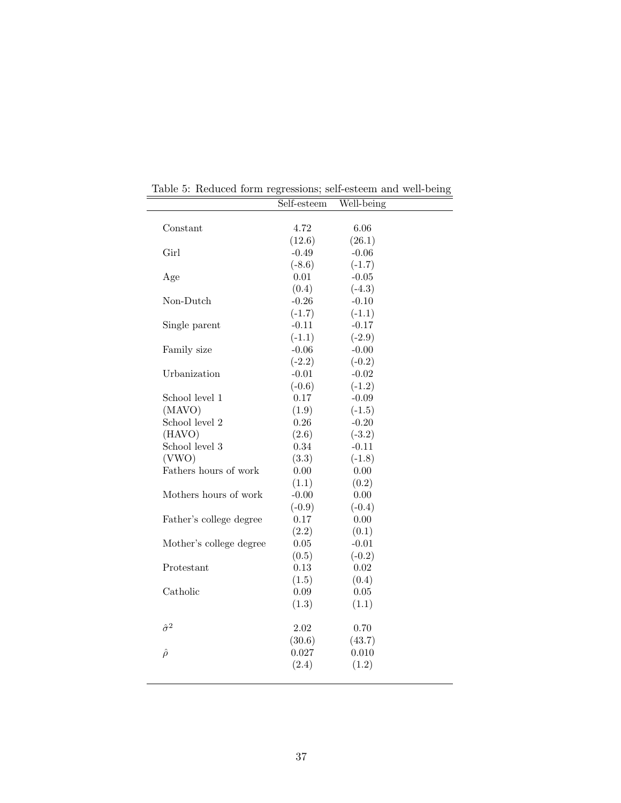|                         | Self-esteem | Well-being |  |
|-------------------------|-------------|------------|--|
|                         |             |            |  |
| Constant                | 4.72        | 6.06       |  |
|                         | (12.6)      | (26.1)     |  |
| Girl                    | $-0.49$     | $-0.06$    |  |
|                         | $(-8.6)$    | $(-1.7)$   |  |
| Age                     | 0.01        | $-0.05$    |  |
|                         | (0.4)       | $(-4.3)$   |  |
| Non-Dutch               | $-0.26$     | $-0.10$    |  |
|                         | $(-1.7)$    | $(-1.1)$   |  |
| Single parent           | $-0.11$     | $-0.17$    |  |
|                         | $(-1.1)$    | $(-2.9)$   |  |
| Family size             | $-0.06$     | $-0.00$    |  |
|                         | $(-2.2)$    | $(-0.2)$   |  |
| Urbanization            | $-0.01$     | $-0.02$    |  |
|                         | $(-0.6)$    | $(-1.2)$   |  |
| School level 1          | 0.17        | $-0.09$    |  |
| (MAVO)                  | (1.9)       | $(-1.5)$   |  |
| School level 2          | $0.26\,$    | $-0.20$    |  |
| (HAVO)                  | (2.6)       | $(-3.2)$   |  |
| School level 3          | 0.34        | $-0.11$    |  |
| (VWO)                   | (3.3)       | $(-1.8)$   |  |
| Fathers hours of work   | 0.00        | 0.00       |  |
|                         | (1.1)       | (0.2)      |  |
| Mothers hours of work   | $-0.00$     | $0.00\,$   |  |
|                         | $(-0.9)$    | $(-0.4)$   |  |
| Father's college degree | 0.17        | 0.00       |  |
|                         | (2.2)       | (0.1)      |  |
| Mother's college degree | $0.05\,$    | $-0.01$    |  |
|                         | (0.5)       | $(-0.2)$   |  |
| Protestant              | $0.13\,$    | 0.02       |  |
|                         | (1.5)       | (0.4)      |  |
| Catholic                | 0.09        | $0.05\,$   |  |
|                         | (1.3)       | (1.1)      |  |
| $\hat{\sigma}^2$        | 2.02        | 0.70       |  |
|                         | (30.6)      | (43.7)     |  |
| $\hat{\rho}$            | 0.027       | 0.010      |  |
|                         | (2.4)       | (1.2)      |  |

Table 5: Reduced form regressions; self-esteem and well-being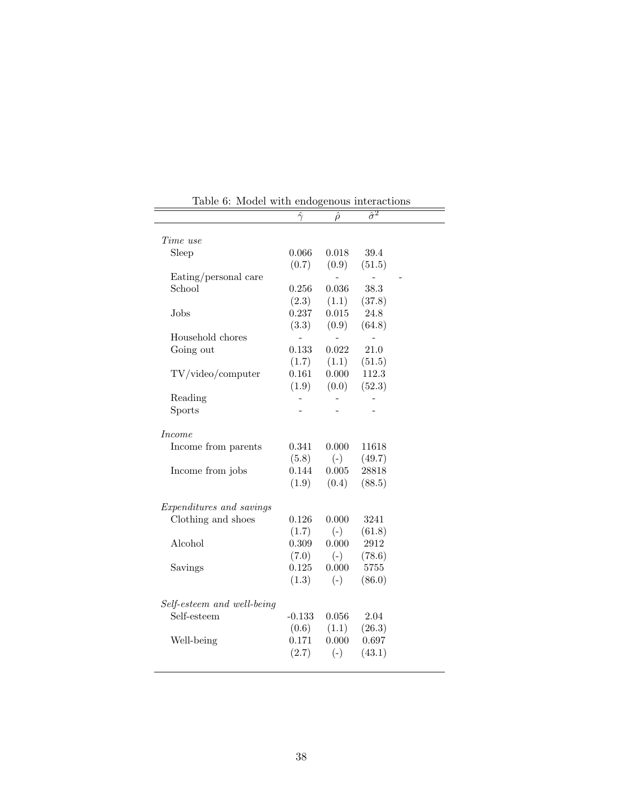| wouch with chub                           |                |                | ono ao mondonomo |  |
|-------------------------------------------|----------------|----------------|------------------|--|
|                                           | $\hat{\gamma}$ | $\hat{\rho}$   | $\hat{\sigma}^2$ |  |
|                                           |                |                |                  |  |
| Time use                                  |                |                |                  |  |
| Sleep                                     | 0.066          | 0.018          | 39.4             |  |
|                                           | (0.7)          | (0.9)          | (51.5)           |  |
| Eating/personal care                      |                |                |                  |  |
| School                                    | 0.256          | 0.036          | 38.3             |  |
|                                           | (2.3)          | (1.1)          | (37.8)           |  |
| Jobs                                      | 0.237          | 0.015          | 24.8             |  |
|                                           | (3.3)          | (0.9)          | (64.8)           |  |
| Household chores                          |                | $\overline{a}$ |                  |  |
| Going out                                 | 0.133          | 0.022          | 21.0             |  |
|                                           | (1.7)          | (1.1)          | (51.5)           |  |
| TV/video/computer                         | 0.161          | 0.000          | 112.3            |  |
|                                           | (1.9)          | (0.0)          | (52.3)           |  |
| Reading                                   |                |                |                  |  |
| <b>Sports</b>                             |                |                |                  |  |
|                                           |                |                |                  |  |
| <i>Income</i>                             |                |                |                  |  |
| Income from parents                       | 0.341          | 0.000          | 11618            |  |
|                                           | (5.8)          | $(-)$          | (49.7)           |  |
| Income from jobs                          | 0.144          | 0.005          | 28818            |  |
|                                           | (1.9)          | (0.4)          | (88.5)           |  |
|                                           |                |                |                  |  |
| Expenditures and savings                  |                |                |                  |  |
| Clothing and shoes                        | 0.126          | 0.000          | 3241             |  |
|                                           | (1.7)          | $(-)$          | (61.8)           |  |
| Alcohol                                   | 0.309          | 0.000          | 2912             |  |
|                                           |                |                | (78.6)           |  |
|                                           | (7.0)<br>0.125 | $(-)$<br>0.000 | 5755             |  |
| Savings                                   |                |                |                  |  |
|                                           | (1.3)          | $(-)$          | (86.0)           |  |
|                                           |                |                |                  |  |
| Self-esteem and well-being<br>Self-esteem | $-0.133$       | 0.056          | 2.04             |  |
|                                           |                |                |                  |  |
|                                           | (0.6)          | (1.1)          | (26.3)           |  |
| Well-being                                | 0.171          | 0.000          | 0.697            |  |
|                                           | (2.7)          | $(-)$          | (43.1)           |  |
|                                           |                |                |                  |  |

Table 6: Model with endogenous interactions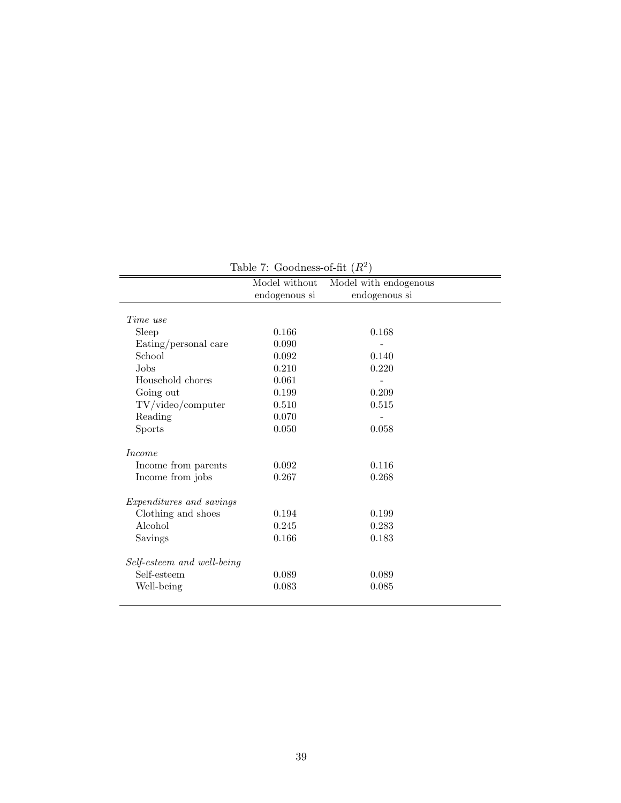|                            | Model without | Model with endogenous |  |
|----------------------------|---------------|-----------------------|--|
|                            | endogenous si | endogenous si         |  |
| Time use                   |               |                       |  |
| Sleep                      | 0.166         | 0.168                 |  |
| Eating/personal care       | 0.090         |                       |  |
| School                     | 0.092         | 0.140                 |  |
| Jobs                       | 0.210         | 0.220                 |  |
| Household chores           | 0.061         |                       |  |
| Going out                  | 0.199         | 0.209                 |  |
| TV/video/computer          | 0.510         | 0.515                 |  |
| Reading                    | 0.070         |                       |  |
| Sports                     | 0.050         | 0.058                 |  |
| <i>Income</i>              |               |                       |  |
| Income from parents        | 0.092         | 0.116                 |  |
| Income from jobs           | 0.267         | 0.268                 |  |
| Expenditures and savings   |               |                       |  |
| Clothing and shoes         | 0.194         | 0.199                 |  |
| Alcohol                    | 0.245         | 0.283                 |  |
| Savings                    | 0.166         | 0.183                 |  |
| Self-esteem and well-being |               |                       |  |
| Self-esteem                | 0.089         | 0.089                 |  |
| Well-being                 | 0.083         | 0.085                 |  |

Table 7: Goodness-of-fit  $(R^2)$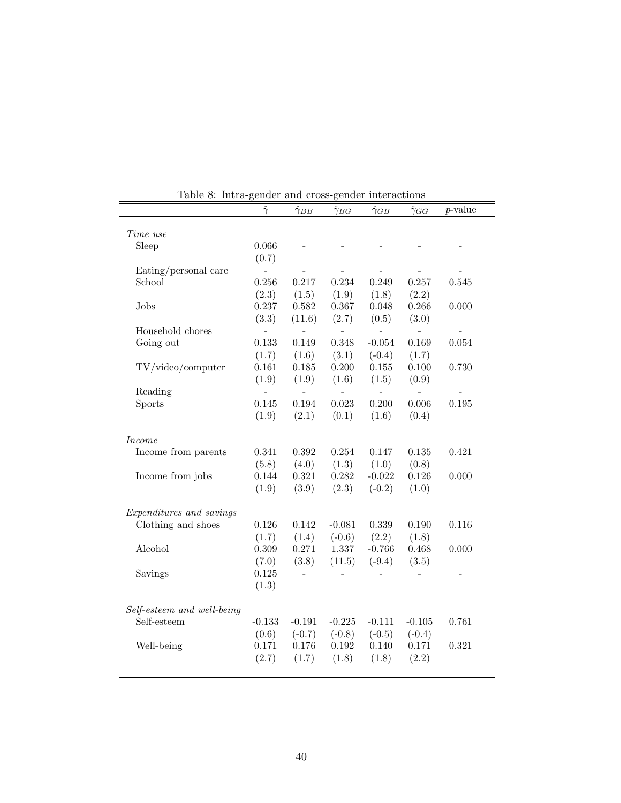|                            | $\hat{\gamma}$ | $\hat{\gamma}_{BB}$      | $\hat{\gamma}_{BG}$ | $\hat{\gamma}_{GB}$ | $\hat{\gamma}_{GG}$      | $p$ -value |
|----------------------------|----------------|--------------------------|---------------------|---------------------|--------------------------|------------|
| Time use                   |                |                          |                     |                     |                          |            |
| Sleep                      | 0.066          |                          |                     |                     |                          |            |
|                            | (0.7)          |                          |                     |                     |                          |            |
| Eating/personal care       | $\overline{a}$ |                          |                     |                     |                          |            |
| School                     | 0.256          | 0.217                    | 0.234               | 0.249               | 0.257                    | 0.545      |
|                            | (2.3)          | (1.5)                    | (1.9)               | (1.8)               | (2.2)                    |            |
| Jobs                       | 0.237          | 0.582                    | 0.367               | 0.048               | 0.266                    | 0.000      |
|                            | (3.3)          | (11.6)                   | (2.7)               | (0.5)               | (3.0)                    |            |
| Household chores           | $\bar{a}$      | $\bar{\phantom{a}}$      | $\frac{1}{2}$       | $\bar{\phantom{a}}$ | $\bar{a}$                |            |
| Going out                  | 0.133          | 0.149                    | 0.348               | $-0.054$            | 0.169                    | 0.054      |
|                            | (1.7)          | (1.6)                    | (3.1)               | $(-0.4)$            | (1.7)                    |            |
| TV/video/computer          | 0.161          | 0.185                    | 0.200               | $0.155\,$           | 0.100                    | 0.730      |
|                            | (1.9)          | (1.9)                    | (1.6)               | (1.5)               | (0.9)                    |            |
| Reading                    | $\frac{1}{2}$  | $\overline{\phantom{a}}$ | $\sim$              | $\overline{a}$      | $\overline{\phantom{0}}$ |            |
| Sports                     | 0.145          | 0.194                    | 0.023               | 0.200               | 0.006                    | 0.195      |
|                            | (1.9)          | (2.1)                    | (0.1)               | (1.6)               | (0.4)                    |            |
| <i>Income</i>              |                |                          |                     |                     |                          |            |
| Income from parents        | 0.341          | 0.392                    | 0.254               | 0.147               | 0.135                    | 0.421      |
|                            | (5.8)          | (4.0)                    | (1.3)               | (1.0)               | (0.8)                    |            |
| Income from jobs           | 0.144          | $0.321\,$                | $0.282\,$           | $-0.022$            | 0.126                    | 0.000      |
|                            | (1.9)          | (3.9)                    | (2.3)               | $(-0.2)$            | (1.0)                    |            |
| Expenditures and savings   |                |                          |                     |                     |                          |            |
| Clothing and shoes         | 0.126          | 0.142                    | $-0.081$            | 0.339               | 0.190                    | 0.116      |
|                            | (1.7)          | (1.4)                    | $(-0.6)$            | (2.2)               | (1.8)                    |            |
| Alcohol                    | 0.309          | 0.271                    | 1.337               | $-0.766$            | 0.468                    | 0.000      |
|                            | (7.0)          | (3.8)                    | (11.5)              | $(-9.4)$            | (3.5)                    |            |
| Savings                    | 0.125          | $\bar{\phantom{a}}$      | $\overline{a}$      |                     |                          |            |
|                            | (1.3)          |                          |                     |                     |                          |            |
| Self-esteem and well-being |                |                          |                     |                     |                          |            |
| Self-esteem                | $-0.133$       | $-0.191$                 | $-0.225$            | $-0.111$            | $-0.105$                 | 0.761      |
|                            | (0.6)          | $(-0.7)$                 | $(-0.8)$            | $(-0.5)$            | $(-0.4)$                 |            |
| Well-being                 | $0.171\,$      | 0.176                    | 0.192               | 0.140               | 0.171                    | 0.321      |
|                            |                |                          |                     | (1.8)               |                          |            |

Table 8: Intra-gender and cross-gender interactions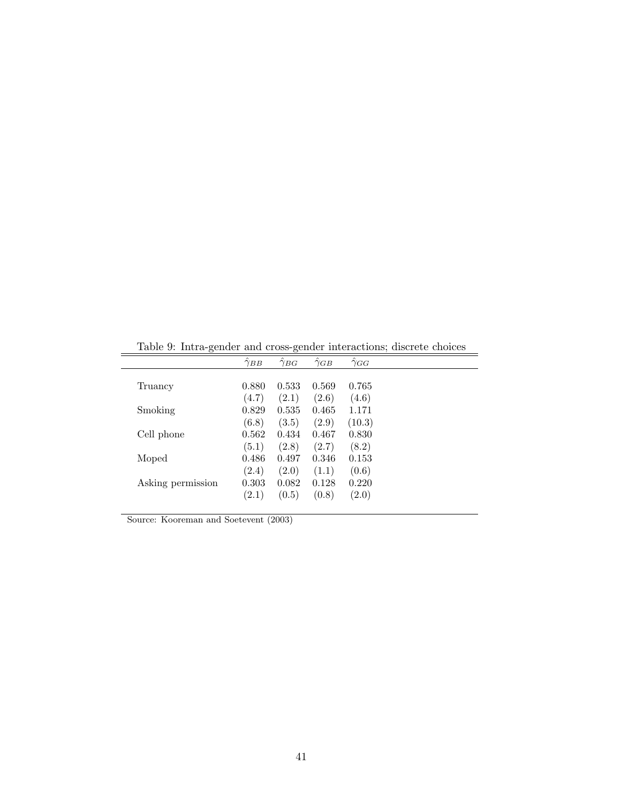|                   | $\gamma_{BB}$ | $\hat{\gamma}_{BG}$ | $\gamma_{GB}$ | $\gamma_{GG}$ |  |
|-------------------|---------------|---------------------|---------------|---------------|--|
|                   |               |                     |               |               |  |
| Truancy           | 0.880         | 0.533               | 0.569         | 0.765         |  |
|                   | (4.7)         | (2.1)               | (2.6)         | (4.6)         |  |
| Smoking           | 0.829         | 0.535               | 0.465         | 1.171         |  |
|                   | (6.8)         | (3.5)               | (2.9)         | (10.3)        |  |
| Cell phone        | 0.562         | 0.434               | 0.467         | 0.830         |  |
|                   | (5.1)         | (2.8)               | (2.7)         | (8.2)         |  |
| Moped             | 0.486         | 0.497               | 0.346         | 0.153         |  |
|                   | (2.4)         | (2.0)               | (1.1)         | (0.6)         |  |
| Asking permission | 0.303         | 0.082               | 0.128         | 0.220         |  |
|                   | (2.1)         | (0.5)               | (0.8)         | (2.0)         |  |

Table 9: Intra-gender and cross-gender interactions; discrete choices

Source: Kooreman and Soetevent (2003)